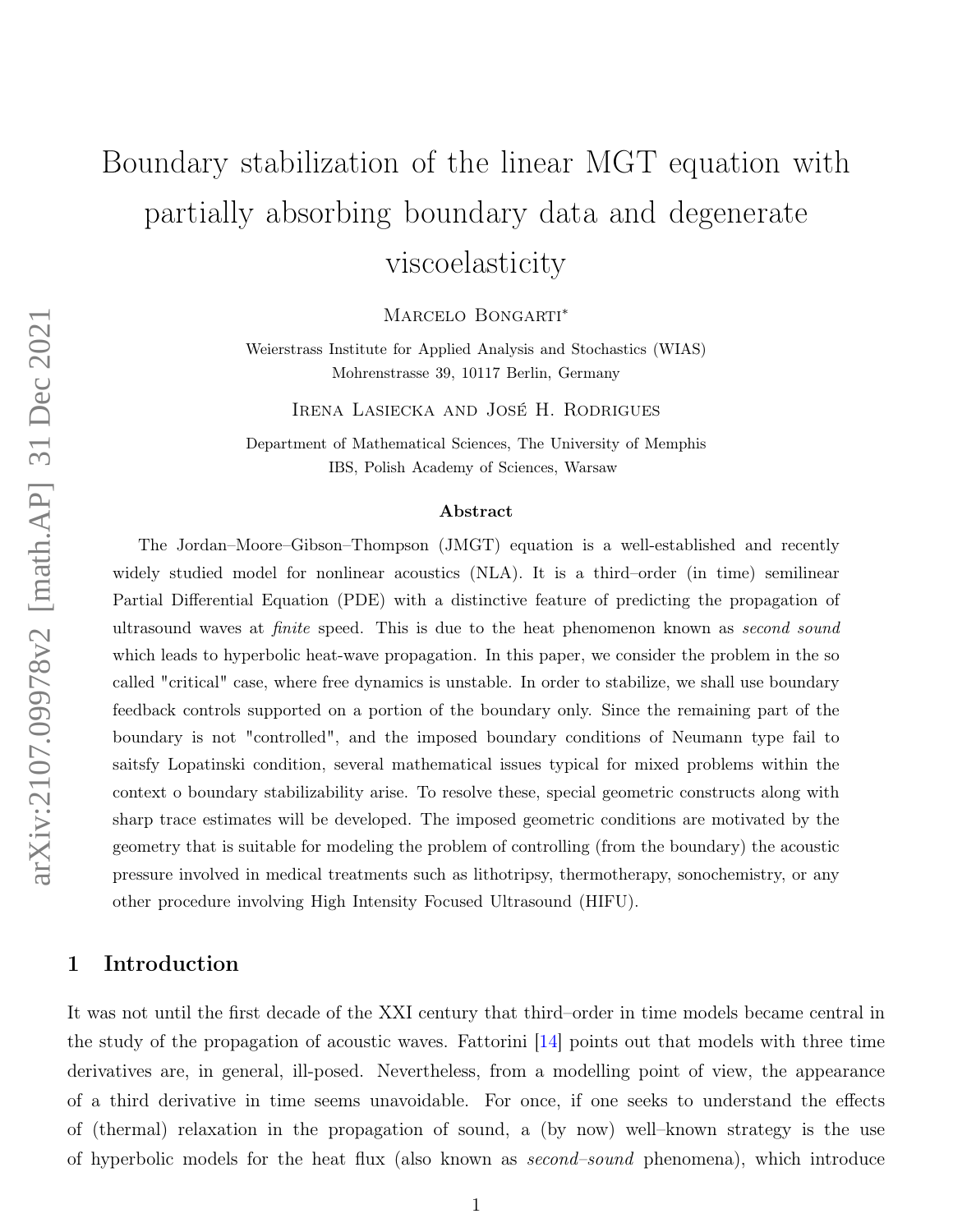# Boundary stabilization of the linear MGT equation with partially absorbing boundary data and degenerate viscoelasticity

MARCELO BONGARTI<sup>\*</sup>

Weierstrass Institute for Applied Analysis and Stochastics (WIAS) Mohrenstrasse 39, 10117 Berlin, Germany

Irena Lasiecka and José H. Rodrigues

Department of Mathematical Sciences, The University of Memphis IBS, Polish Academy of Sciences, Warsaw

#### Abstract

The Jordan–Moore–Gibson–Thompson (JMGT) equation is a well-established and recently widely studied model for nonlinear acoustics (NLA). It is a third–order (in time) semilinear Partial Differential Equation (PDE) with a distinctive feature of predicting the propagation of ultrasound waves at *finite* speed. This is due to the heat phenomenon known as *second sound* which leads to hyperbolic heat-wave propagation. In this paper, we consider the problem in the so called "critical" case, where free dynamics is unstable. In order to stabilize, we shall use boundary feedback controls supported on a portion of the boundary only. Since the remaining part of the boundary is not "controlled", and the imposed boundary conditions of Neumann type fail to saitsfy Lopatinski condition, several mathematical issues typical for mixed problems within the context o boundary stabilizability arise. To resolve these, special geometric constructs along with sharp trace estimates will be developed. The imposed geometric conditions are motivated by the geometry that is suitable for modeling the problem of controlling (from the boundary) the acoustic pressure involved in medical treatments such as lithotripsy, thermotherapy, sonochemistry, or any other procedure involving High Intensity Focused Ultrasound (HIFU).

## 1 Introduction

It was not until the first decade of the XXI century that third–order in time models became central in the study of the propagation of acoustic waves. Fattorini [\[14\]](#page-22-0) points out that models with three time derivatives are, in general, ill-posed. Nevertheless, from a modelling point of view, the appearance of a third derivative in time seems unavoidable. For once, if one seeks to understand the effects of (thermal) relaxation in the propagation of sound, a (by now) well–known strategy is the use of hyperbolic models for the heat flux (also known as second–sound phenomena), which introduce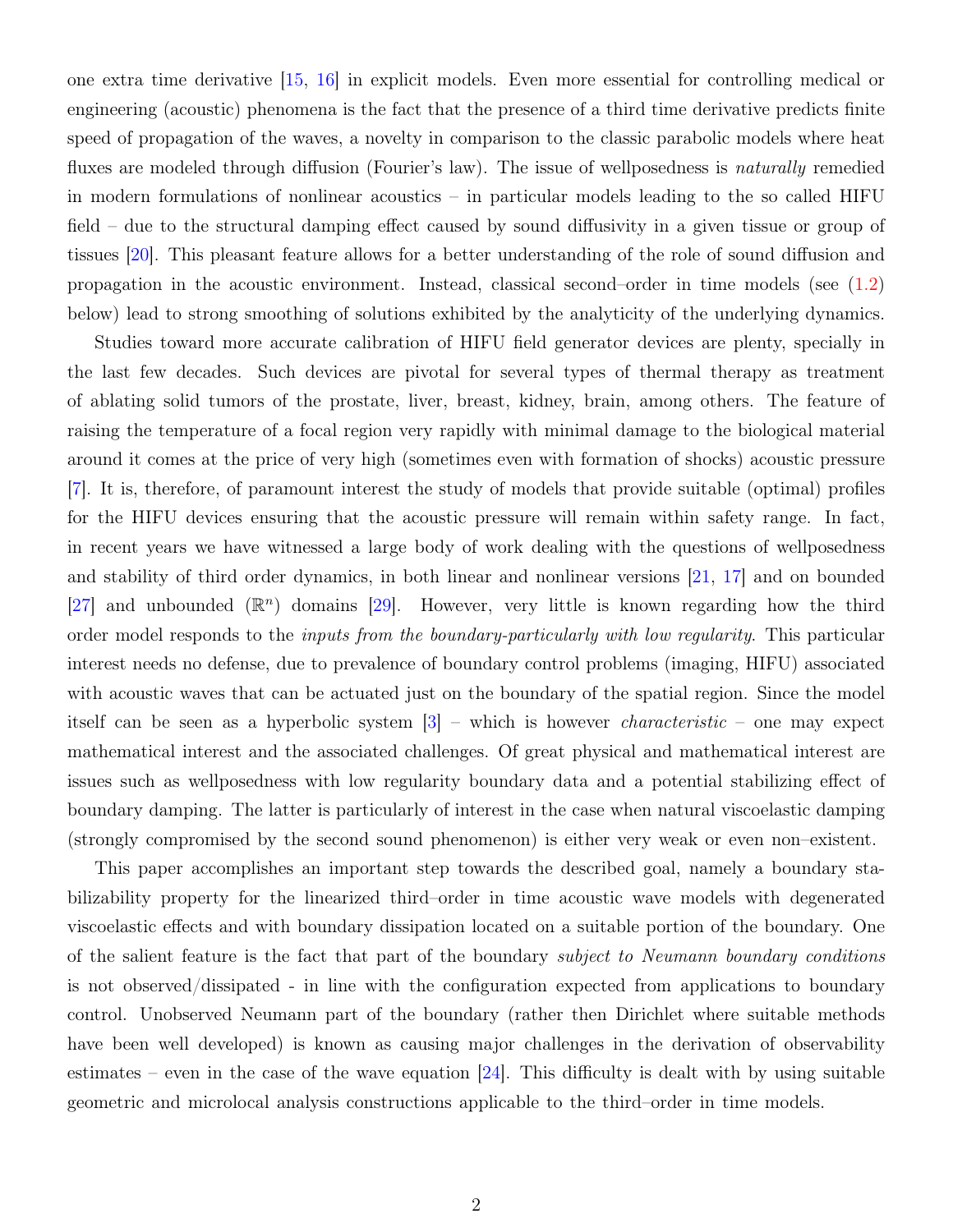one extra time derivative [\[15,](#page-22-1) [16\]](#page-23-0) in explicit models. Even more essential for controlling medical or engineering (acoustic) phenomena is the fact that the presence of a third time derivative predicts finite speed of propagation of the waves, a novelty in comparison to the classic parabolic models where heat fluxes are modeled through diffusion (Fourier's law). The issue of wellposedness is *naturally* remedied in modern formulations of nonlinear acoustics – in particular models leading to the so called HIFU field – due to the structural damping effect caused by sound diffusivity in a given tissue or group of tissues [\[20\]](#page-23-1). This pleasant feature allows for a better understanding of the role of sound diffusion and propagation in the acoustic environment. Instead, classical second–order in time models (see [\(1.2\)](#page-2-0) below) lead to strong smoothing of solutions exhibited by the analyticity of the underlying dynamics.

Studies toward more accurate calibration of HIFU field generator devices are plenty, specially in the last few decades. Such devices are pivotal for several types of thermal therapy as treatment of ablating solid tumors of the prostate, liver, breast, kidney, brain, among others. The feature of raising the temperature of a focal region very rapidly with minimal damage to the biological material around it comes at the price of very high (sometimes even with formation of shocks) acoustic pressure [\[7\]](#page-22-2). It is, therefore, of paramount interest the study of models that provide suitable (optimal) profiles for the HIFU devices ensuring that the acoustic pressure will remain within safety range. In fact, in recent years we have witnessed a large body of work dealing with the questions of wellposedness and stability of third order dynamics, in both linear and nonlinear versions [\[21,](#page-23-2) [17\]](#page-23-3) and on bounded [\[27\]](#page-24-0) and unbounded  $(\mathbb{R}^n)$  domains [\[29\]](#page-24-1). However, very little is known regarding how the third order model responds to the inputs from the boundary-particularly with low regularity. This particular interest needs no defense, due to prevalence of boundary control problems (imaging, HIFU) associated with acoustic waves that can be actuated just on the boundary of the spatial region. Since the model itself can be seen as a hyperbolic system  $\lceil 3 \rceil$  – which is however *characteristic* – one may expect mathematical interest and the associated challenges. Of great physical and mathematical interest are issues such as wellposedness with low regularity boundary data and a potential stabilizing effect of boundary damping. The latter is particularly of interest in the case when natural viscoelastic damping (strongly compromised by the second sound phenomenon) is either very weak or even non–existent.

This paper accomplishes an important step towards the described goal, namely a boundary stabilizability property for the linearized third–order in time acoustic wave models with degenerated viscoelastic effects and with boundary dissipation located on a suitable portion of the boundary. One of the salient feature is the fact that part of the boundary subject to Neumann boundary conditions is not observed/dissipated - in line with the configuration expected from applications to boundary control. Unobserved Neumann part of the boundary (rather then Dirichlet where suitable methods have been well developed) is known as causing major challenges in the derivation of observability estimates – even in the case of the wave equation  $[24]$ . This difficulty is dealt with by using suitable geometric and microlocal analysis constructions applicable to the third–order in time models.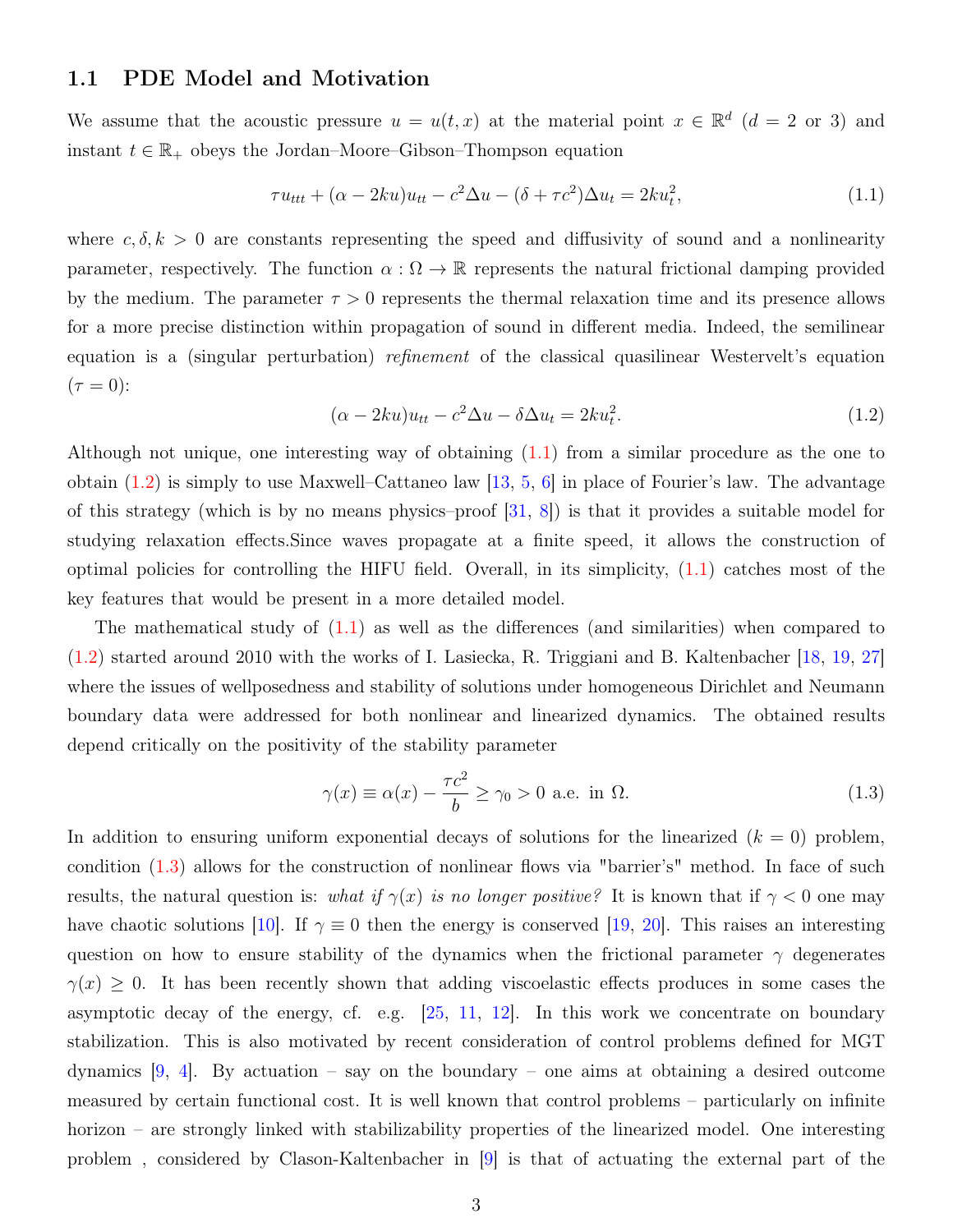## 1.1 PDE Model and Motivation

We assume that the acoustic pressure  $u = u(t, x)$  at the material point  $x \in \mathbb{R}^d$   $(d = 2 \text{ or } 3)$  and instant  $t \in \mathbb{R}_+$  obeys the Jordan–Moore–Gibson–Thompson equation

<span id="page-2-1"></span>
$$
\tau u_{ttt} + (\alpha - 2ku)u_{tt} - c^2 \Delta u - (\delta + \tau c^2) \Delta u_t = 2ku_t^2,
$$
\n(1.1)

where  $c, \delta, k > 0$  are constants representing the speed and diffusivity of sound and a nonlinearity parameter, respectively. The function  $\alpha : \Omega \to \mathbb{R}$  represents the natural frictional damping provided by the medium. The parameter  $\tau > 0$  represents the thermal relaxation time and its presence allows for a more precise distinction within propagation of sound in different media. Indeed, the semilinear equation is a (singular perturbation) *refinement* of the classical quasilinear Westervelt's equation  $(\tau = 0)$ :

<span id="page-2-0"></span>
$$
(\alpha - 2ku)u_{tt} - c^2 \Delta u - \delta \Delta u_t = 2ku_t^2.
$$
\n(1.2)

Although not unique, one interesting way of obtaining [\(1.1\)](#page-2-1) from a similar procedure as the one to obtain  $(1.2)$  is simply to use Maxwell–Cattaneo law  $[13, 5, 6]$  $[13, 5, 6]$  $[13, 5, 6]$  $[13, 5, 6]$  $[13, 5, 6]$  in place of Fourier's law. The advantage of this strategy (which is by no means physics–proof  $[31, 8]$  $[31, 8]$  $[31, 8]$ ) is that it provides a suitable model for studying relaxation effects.Since waves propagate at a finite speed, it allows the construction of optimal policies for controlling the HIFU field. Overall, in its simplicity, [\(1.1\)](#page-2-1) catches most of the key features that would be present in a more detailed model.

The mathematical study of  $(1.1)$  as well as the differences (and similarities) when compared to [\(1.2\)](#page-2-0) started around 2010 with the works of I. Lasiecka, R. Triggiani and B. Kaltenbacher [\[18,](#page-23-5) [19,](#page-23-6) [27\]](#page-24-0) where the issues of wellposedness and stability of solutions under homogeneous Dirichlet and Neumann boundary data were addressed for both nonlinear and linearized dynamics. The obtained results depend critically on the positivity of the stability parameter

<span id="page-2-2"></span>
$$
\gamma(x) \equiv \alpha(x) - \frac{\tau c^2}{b} \ge \gamma_0 > 0 \text{ a.e. in } \Omega.
$$
 (1.3)

In addition to ensuring uniform exponential decays of solutions for the linearized  $(k = 0)$  problem, condition [\(1.3\)](#page-2-2) allows for the construction of nonlinear flows via "barrier's" method. In face of such results, the natural question is: what if  $\gamma(x)$  is no longer positive? It is known that if  $\gamma < 0$  one may have chaotic solutions [\[10\]](#page-22-7). If  $\gamma \equiv 0$  then the energy is conserved [\[19,](#page-23-6) [20\]](#page-23-1). This raises an interesting question on how to ensure stability of the dynamics when the frictional parameter  $\gamma$  degenerates  $\gamma(x) \geq 0$ . It has been recently shown that adding viscoelastic effects produces in some cases the asymptotic decay of the energy, cf. e.g.  $[25, 11, 12]$  $[25, 11, 12]$  $[25, 11, 12]$  $[25, 11, 12]$  $[25, 11, 12]$ . In this work we concentrate on boundary stabilization. This is also motivated by recent consideration of control problems defined for MGT dynamics  $[9, 4]$  $[9, 4]$  $[9, 4]$ . By actuation – say on the boundary – one aims at obtaining a desired outcome measured by certain functional cost. It is well known that control problems – particularly on infinite horizon – are strongly linked with stabilizability properties of the linearized model. One interesting problem , considered by Clason-Kaltenbacher in [\[9\]](#page-22-10) is that of actuating the external part of the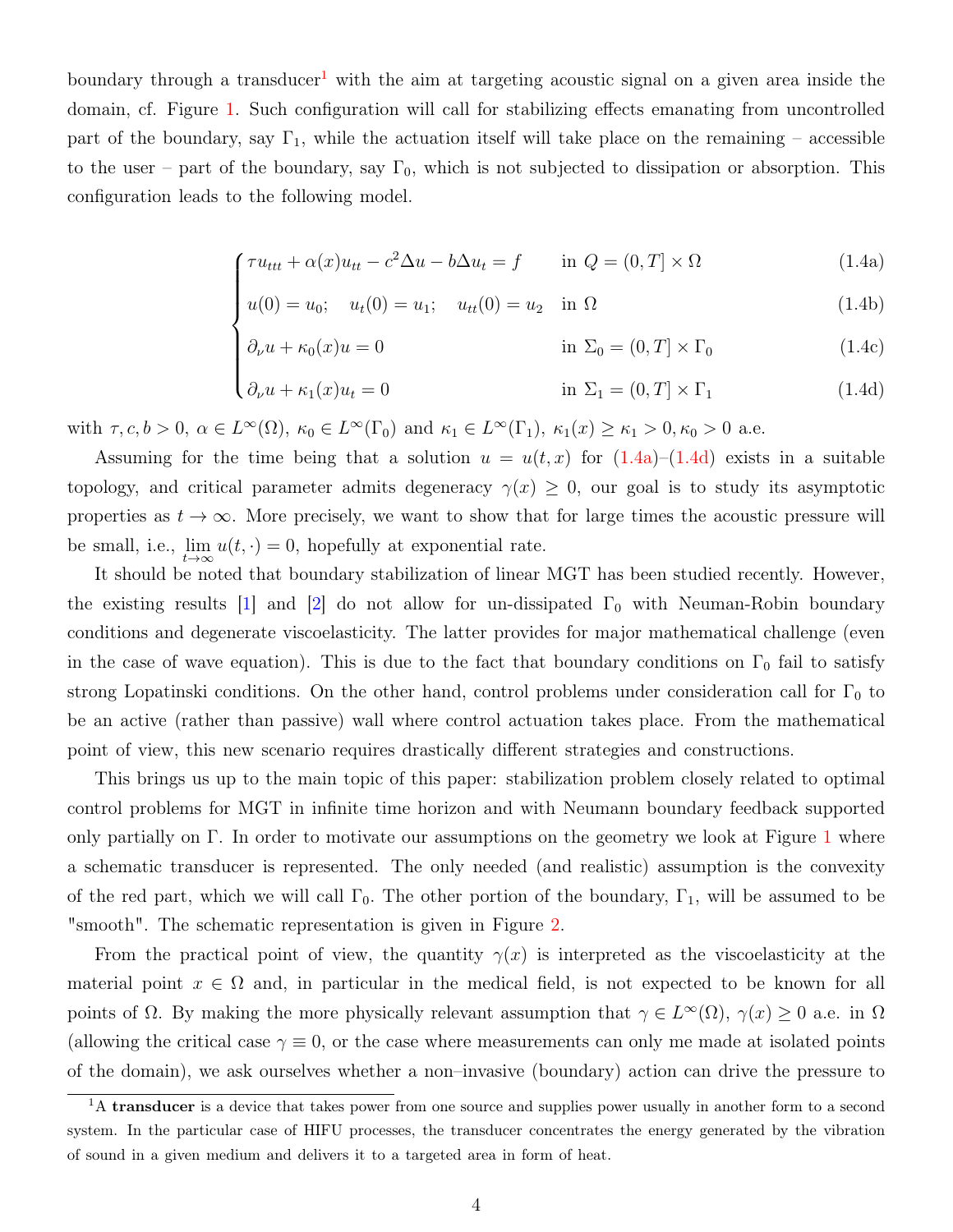boundary through a transducer<sup>[1](#page-3-0)</sup> with the aim at targeting acoustic signal on a given area inside the domain, cf. Figure [1.](#page-4-0) Such configuration will call for stabilizing effects emanating from uncontrolled part of the boundary, say  $\Gamma_1$ , while the actuation itself will take place on the remaining – accessible to the user – part of the boundary, say  $\Gamma_0$ , which is not subjected to dissipation or absorption. This configuration leads to the following model.

$$
\int \tau u_{ttt} + \alpha(x)u_{tt} - c^2 \Delta u - b\Delta u_t = f \quad \text{in } Q = (0, T] \times \Omega \tag{1.4a}
$$

$$
u(0) = u_0; \quad u_t(0) = u_1; \quad u_{tt}(0) = u_2 \quad \text{in } \Omega
$$
\n(1.4b)

$$
\partial_{\nu} u + \kappa_0(x) u = 0 \qquad \qquad \text{in } \Sigma_0 = (0, T] \times \Gamma_0 \tag{1.4c}
$$

$$
\begin{cases}\n\partial_{\nu} u + \kappa_0(x) u = 0 & \text{in } \Sigma_0 = (0, T] \times \Gamma_0 \\
\partial_{\nu} u + \kappa_1(x) u_t = 0 & \text{in } \Sigma_1 = (0, T] \times \Gamma_1\n\end{cases}
$$
\n(1.4c)

<span id="page-3-1"></span>with  $\tau, c, b > 0$ ,  $\alpha \in L^{\infty}(\Omega)$ ,  $\kappa_0 \in L^{\infty}(\Gamma_0)$  and  $\kappa_1 \in L^{\infty}(\Gamma_1)$ ,  $\kappa_1(x) \geq \kappa_1 > 0$ ,  $\kappa_0 > 0$  a.e.

Assuming for the time being that a solution  $u = u(t, x)$  for  $(1.4a)$ – $(1.4d)$  exists in a suitable topology, and critical parameter admits degeneracy  $\gamma(x) \geq 0$ , our goal is to study its asymptotic properties as  $t \to \infty$ . More precisely, we want to show that for large times the acoustic pressure will be small, i.e.,  $\lim_{t\to\infty} u(t,\cdot) = 0$ , hopefully at exponential rate.

It should be noted that boundary stabilization of linear MGT has been studied recently. However, the existing results  $|1|$  and  $|2|$  do not allow for un-dissipated  $\Gamma_0$  with Neuman-Robin boundary conditions and degenerate viscoelasticity. The latter provides for major mathematical challenge (even in the case of wave equation). This is due to the fact that boundary conditions on  $\Gamma_0$  fail to satisfy strong Lopatinski conditions. On the other hand, control problems under consideration call for  $\Gamma_0$  to be an active (rather than passive) wall where control actuation takes place. From the mathematical point of view, this new scenario requires drastically different strategies and constructions.

This brings us up to the main topic of this paper: stabilization problem closely related to optimal control problems for MGT in infinite time horizon and with Neumann boundary feedback supported only partially on Γ. In order to motivate our assumptions on the geometry we look at Figure [1](#page-4-0) where a schematic transducer is represented. The only needed (and realistic) assumption is the convexity of the red part, which we will call  $\Gamma_0$ . The other portion of the boundary,  $\Gamma_1$ , will be assumed to be "smooth". The schematic representation is given in Figure [2.](#page-4-1)

From the practical point of view, the quantity  $\gamma(x)$  is interpreted as the viscoelasticity at the material point  $x \in \Omega$  and, in particular in the medical field, is not expected to be known for all points of  $\Omega$ . By making the more physically relevant assumption that  $\gamma \in L^{\infty}(\Omega)$ ,  $\gamma(x) \geq 0$  a.e. in  $\Omega$ (allowing the critical case  $\gamma \equiv 0$ , or the case where measurements can only me made at isolated points of the domain), we ask ourselves whether a non–invasive (boundary) action can drive the pressure to

<span id="page-3-0"></span><sup>&</sup>lt;sup>1</sup>A transducer is a device that takes power from one source and supplies power usually in another form to a second system. In the particular case of HIFU processes, the transducer concentrates the energy generated by the vibration of sound in a given medium and delivers it to a targeted area in form of heat.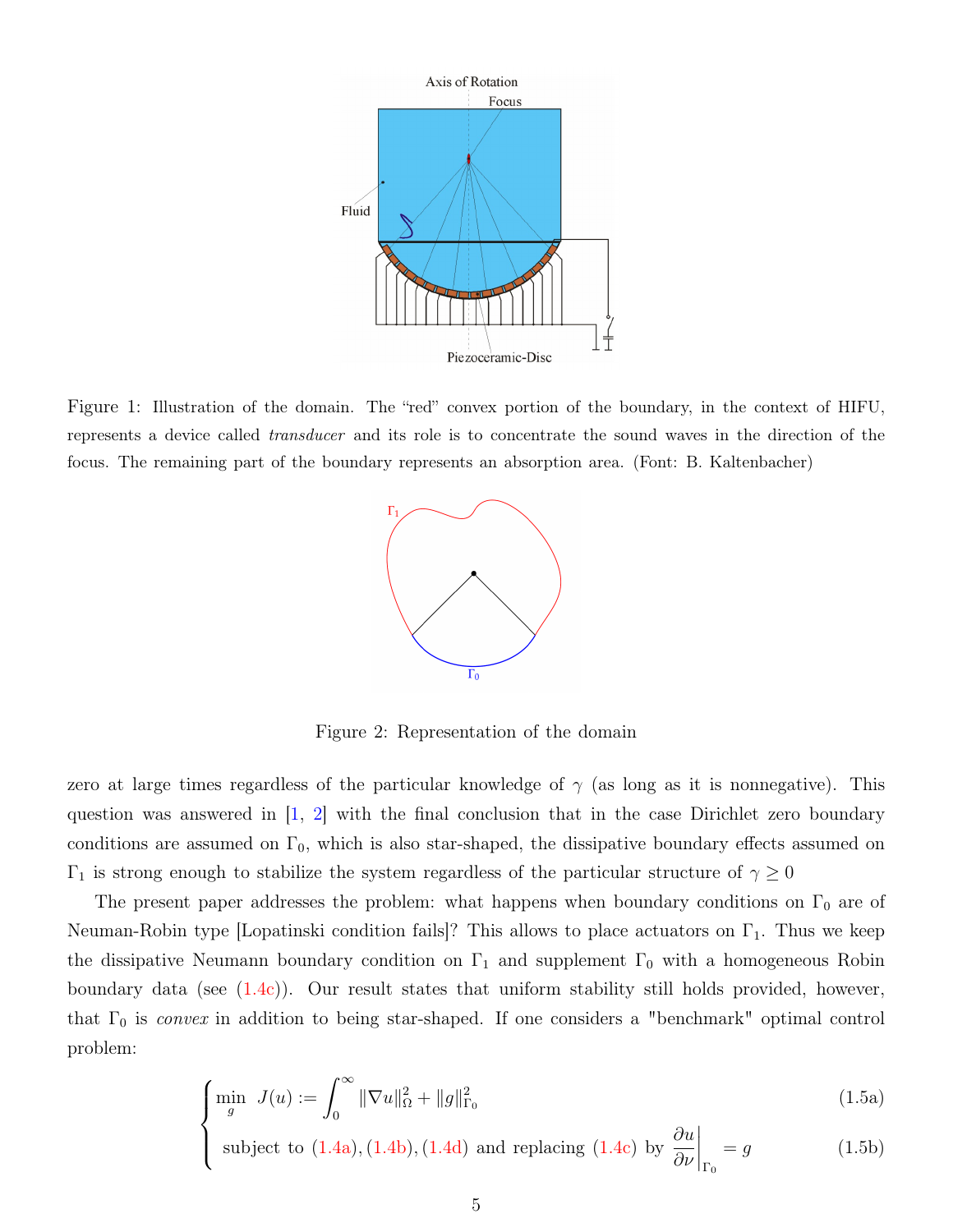

<span id="page-4-0"></span>Figure 1: Illustration of the domain. The "red" convex portion of the boundary, in the context of HIFU, represents a device called transducer and its role is to concentrate the sound waves in the direction of the focus. The remaining part of the boundary represents an absorption area. (Font: B. Kaltenbacher)



<span id="page-4-1"></span>Figure 2: Representation of the domain

zero at large times regardless of the particular knowledge of  $\gamma$  (as long as it is nonnegative). This question was answered in  $\begin{bmatrix} 1, 2 \end{bmatrix}$  with the final conclusion that in the case Dirichlet zero boundary conditions are assumed on  $\Gamma_0$ , which is also star-shaped, the dissipative boundary effects assumed on  $\Gamma_1$  is strong enough to stabilize the system regardless of the particular structure of  $\gamma \geq 0$ 

The present paper addresses the problem: what happens when boundary conditions on  $\Gamma_0$  are of Neuman-Robin type [Lopatinski condition fails]? This allows to place actuators on  $\Gamma_1$ . Thus we keep the dissipative Neumann boundary condition on  $\Gamma_1$  and supplement  $\Gamma_0$  with a homogeneous Robin boundary data (see  $(1.4c)$ ). Our result states that uniform stability still holds provided, however, that  $\Gamma_0$  is *convex* in addition to being star-shaped. If one considers a "benchmark" optimal control problem:

$$
\int_{g} \min_{g} J(u) := \int_{0}^{\infty} \|\nabla u\|_{\Omega}^{2} + \|g\|_{\Gamma_{0}}^{2}
$$
\n(1.5a)

 $\overline{\mathcal{L}}$ subject to  $(1.4a)$ ,  $(1.4b)$ ,  $(1.4d)$  and replacing  $(1.4c)$  by  $\frac{\partial u}{\partial x}$ ∂ν  $\Bigg|_{\Gamma_0}$  $(1.5b)$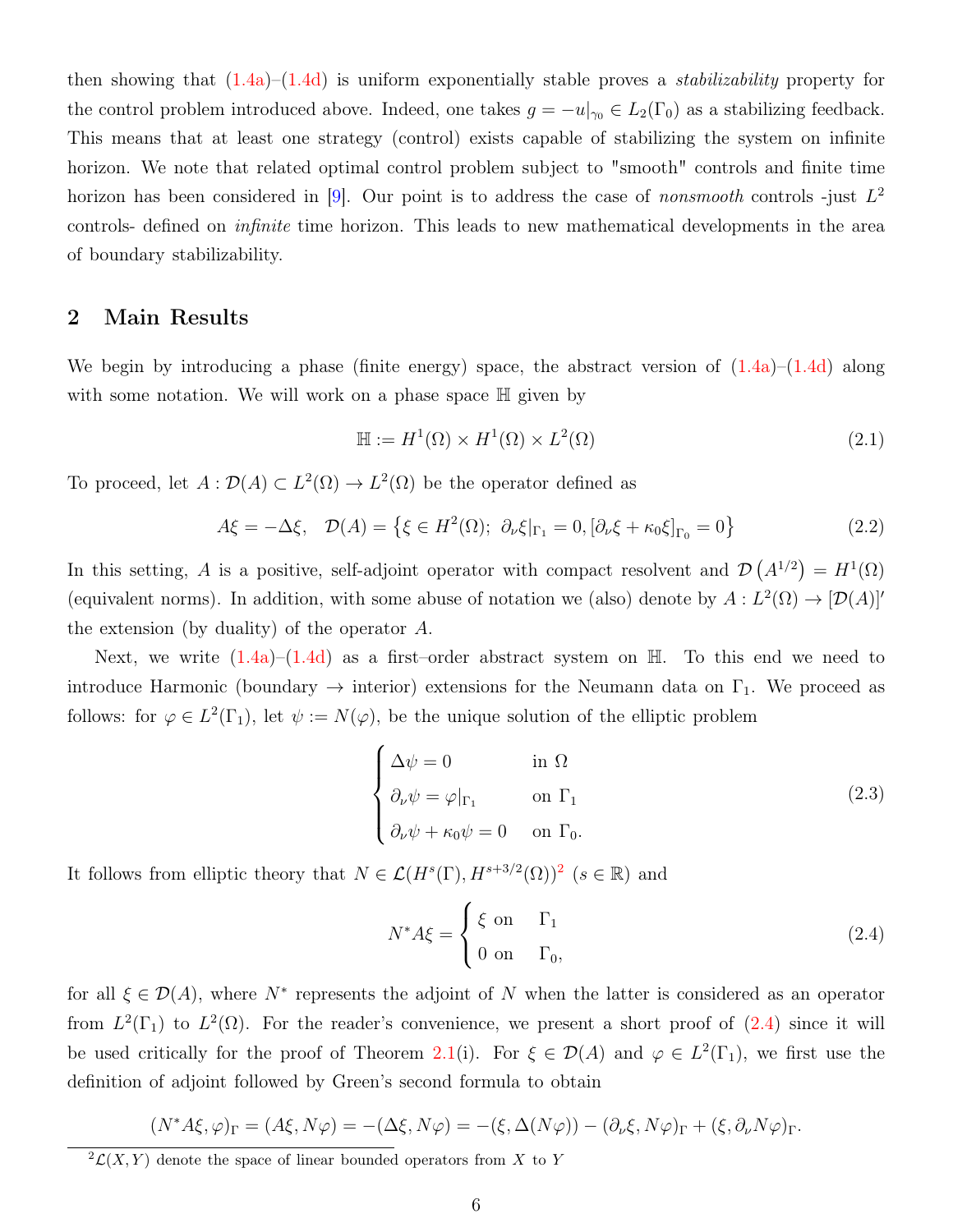then showing that  $(1.4a)$ – $(1.4d)$  is uniform exponentially stable proves a *stabilizability* property for the control problem introduced above. Indeed, one takes  $g = -u|_{\gamma_0} \in L_2(\Gamma_0)$  as a stabilizing feedback. This means that at least one strategy (control) exists capable of stabilizing the system on infinite horizon. We note that related optimal control problem subject to "smooth" controls and finite time horizon has been considered in [\[9\]](#page-22-10). Our point is to address the case of *nonsmooth* controls -just  $L^2$ controls- defined on infinite time horizon. This leads to new mathematical developments in the area of boundary stabilizability.

## 2 Main Results

We begin by introducing a phase (finite energy) space, the abstract version of  $(1.4a)$ – $(1.4d)$  along with some notation. We will work on a phase space  $\mathbb H$  given by

$$
\mathbb{H} := H^1(\Omega) \times H^1(\Omega) \times L^2(\Omega)
$$
\n(2.1)

To proceed, let  $A: \mathcal{D}(A) \subset L^2(\Omega) \to L^2(\Omega)$  be the operator defined as

$$
A\xi = -\Delta \xi, \quad \mathcal{D}(A) = \left\{ \xi \in H^2(\Omega); \ \partial_\nu \xi|_{\Gamma_1} = 0, \left[ \partial_\nu \xi + \kappa_0 \xi \right]_{\Gamma_0} = 0 \right\}
$$
 (2.2)

In this setting, A is a positive, self-adjoint operator with compact resolvent and  $\mathcal{D}(A^{1/2}) = H^{1}(\Omega)$ (equivalent norms). In addition, with some abuse of notation we (also) denote by  $A: L^2(\Omega) \to [\mathcal{D}(A)]'$ the extension (by duality) of the operator A.

Next, we write  $(1.4a)-(1.4d)$  $(1.4a)-(1.4d)$  $(1.4a)-(1.4d)$  as a first-order abstract system on  $\mathbb{H}$ . To this end we need to introduce Harmonic (boundary  $\rightarrow$  interior) extensions for the Neumann data on  $\Gamma_1$ . We proceed as follows: for  $\varphi \in L^2(\Gamma_1)$ , let  $\psi := N(\varphi)$ , be the unique solution of the elliptic problem

<span id="page-5-2"></span>
$$
\begin{cases}\n\Delta \psi = 0 & \text{in } \Omega \\
\partial_{\nu} \psi = \varphi|_{\Gamma_1} & \text{on } \Gamma_1 \\
\partial_{\nu} \psi + \kappa_0 \psi = 0 & \text{on } \Gamma_0.\n\end{cases}
$$
\n(2.3)

It follows from elliptic theory that  $N \in \mathcal{L}(H^s(\Gamma), H^{s+3/2}(\Omega))^2$  $N \in \mathcal{L}(H^s(\Gamma), H^{s+3/2}(\Omega))^2$  $N \in \mathcal{L}(H^s(\Gamma), H^{s+3/2}(\Omega))^2$   $(s \in \mathbb{R})$  and

<span id="page-5-1"></span>
$$
N^*A\xi = \begin{cases} \xi & \text{on} & \Gamma_1 \\ 0 & \text{on} & \Gamma_0, \end{cases}
$$
 (2.4)

for all  $\xi \in \mathcal{D}(A)$ , where  $N^*$  represents the adjoint of N when the latter is considered as an operator from  $L^2(\Gamma_1)$  to  $L^2(\Omega)$ . For the reader's convenience, we present a short proof of  $(2.4)$  since it will be used critically for the proof of Theorem [2.1\(](#page-6-0)i). For  $\xi \in \mathcal{D}(A)$  and  $\varphi \in L^2(\Gamma_1)$ , we first use the definition of adjoint followed by Green's second formula to obtain

$$
(N^*A\xi,\varphi)_{\Gamma} = (A\xi,N\varphi) = -(\Delta\xi,N\varphi) = -(\xi,\Delta(N\varphi)) - (\partial_{\nu}\xi,N\varphi)_{\Gamma} + (\xi,\partial_{\nu}N\varphi)_{\Gamma}.
$$

<span id="page-5-0"></span> $^{2}\mathcal{L}(X,Y)$  denote the space of linear bounded operators from X to Y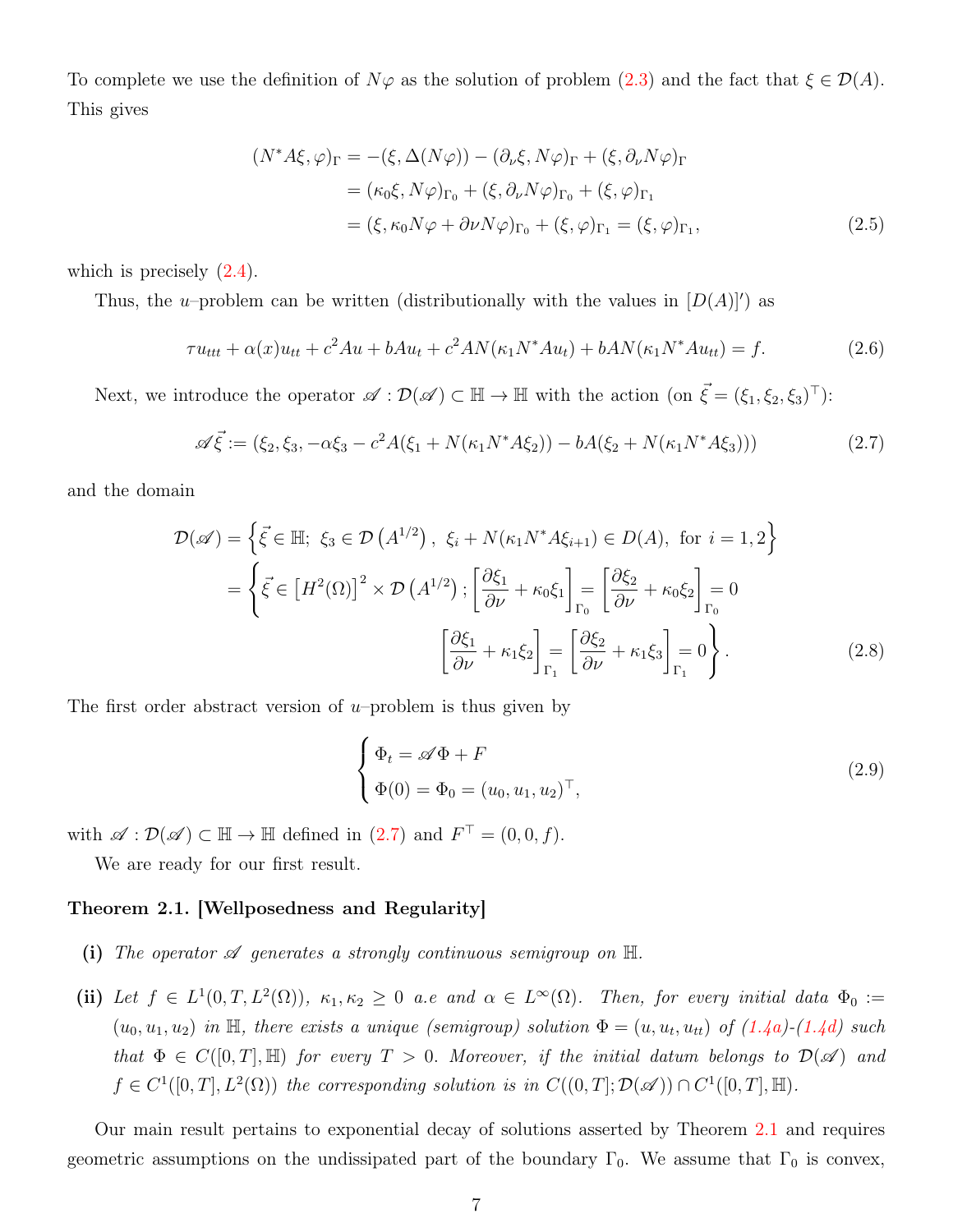To complete we use the definition of  $N\varphi$  as the solution of problem [\(2.3\)](#page-5-2) and the fact that  $\xi \in \mathcal{D}(A)$ . This gives

$$
(N^*A\xi, \varphi)_{\Gamma} = -(\xi, \Delta(N\varphi)) - (\partial_{\nu}\xi, N\varphi)_{\Gamma} + (\xi, \partial_{\nu}N\varphi)_{\Gamma}
$$
  

$$
= (\kappa_0\xi, N\varphi)_{\Gamma_0} + (\xi, \partial_{\nu}N\varphi)_{\Gamma_0} + (\xi, \varphi)_{\Gamma_1}
$$
  

$$
= (\xi, \kappa_0 N\varphi + \partial \nu N\varphi)_{\Gamma_0} + (\xi, \varphi)_{\Gamma_1} = (\xi, \varphi)_{\Gamma_1},
$$
 (2.5)

which is precisely  $(2.4)$ .

Thus, the u–problem can be written (distributionally with the values in  $[D(A)]'$ ) as

$$
\tau u_{ttt} + \alpha(x)u_{tt} + c^2Au + bAu_t + c^2AN(\kappa_1 N^*Au_t) + bAN(\kappa_1 N^*Au_t) = f.
$$
 (2.6)

Next, we introduce the operator  $\mathscr{A} : \mathcal{D}(\mathscr{A}) \subset \mathbb{H} \to \mathbb{H}$  with the action (on  $\vec{\xi} = (\xi_1, \xi_2, \xi_3)^\top$ ):

<span id="page-6-1"></span>
$$
\mathscr{A}\vec{\xi} := (\xi_2, \xi_3, -\alpha \xi_3 - c^2 A(\xi_1 + N(\kappa_1 N^* A \xi_2)) - bA(\xi_2 + N(\kappa_1 N^* A \xi_3)))
$$
\n(2.7)

and the domain

$$
\mathcal{D}(\mathscr{A}) = \left\{ \vec{\xi} \in \mathbb{H}; \ \xi_3 \in \mathcal{D} \left( A^{1/2} \right), \ \xi_i + N(\kappa_1 N^* A \xi_{i+1}) \in D(A), \text{ for } i = 1, 2 \right\}
$$
\n
$$
= \left\{ \vec{\xi} \in \left[ H^2(\Omega) \right]^2 \times \mathcal{D} \left( A^{1/2} \right); \left[ \frac{\partial \xi_1}{\partial \nu} + \kappa_0 \xi_1 \right]_{\Gamma_0} = \left[ \frac{\partial \xi_2}{\partial \nu} + \kappa_0 \xi_2 \right]_{\Gamma_0} = 0
$$
\n
$$
\left[ \frac{\partial \xi_1}{\partial \nu} + \kappa_1 \xi_2 \right]_{\Gamma_1} = \left[ \frac{\partial \xi_2}{\partial \nu} + \kappa_1 \xi_3 \right]_{\Gamma_1} = 0 \right\}. \tag{2.8}
$$

The first order abstract version of  $u$ -problem is thus given by

<span id="page-6-2"></span>
$$
\begin{cases} \Phi_t = \mathscr{A}\Phi + F \\ \Phi(0) = \Phi_0 = (u_0, u_1, u_2)^\top, \end{cases}
$$
\n(2.9)

with  $\mathscr{A} : \mathcal{D}(\mathscr{A}) \subset \mathbb{H} \to \mathbb{H}$  defined in  $(2.7)$  and  $F^{\top} = (0, 0, f)$ .

We are ready for our first result.

### <span id="page-6-0"></span>Theorem 2.1. [Wellposedness and Regularity]

- (i) The operator  $\mathscr A$  generates a strongly continuous semigroup on  $\mathbb H$ .
- (ii) Let  $f \in L^1(0,T,L^2(\Omega))$ ,  $\kappa_1,\kappa_2 \geq 0$  a.e and  $\alpha \in L^{\infty}(\Omega)$ . Then, for every initial data  $\Phi_0 :=$  $(u_0, u_1, u_2)$  in H, there exists a unique (semigroup) solution  $\Phi = (u, u_t, u_{tt})$  of  $(1.4a)-(1.4d)$  $(1.4a)-(1.4d)$  $(1.4a)-(1.4d)$  such that  $\Phi \in C([0,T], \mathbb{H})$  for every  $T > 0$ . Moreover, if the initial datum belongs to  $\mathcal{D}(\mathscr{A})$  and  $f \in C^1([0,T], L^2(\Omega))$  the corresponding solution is in  $C((0,T]; \mathcal{D}(\mathscr{A})) \cap C^1([0,T], \mathbb{H})$ .

Our main result pertains to exponential decay of solutions asserted by Theorem [2.1](#page-6-0) and requires geometric assumptions on the undissipated part of the boundary  $\Gamma_0$ . We assume that  $\Gamma_0$  is convex,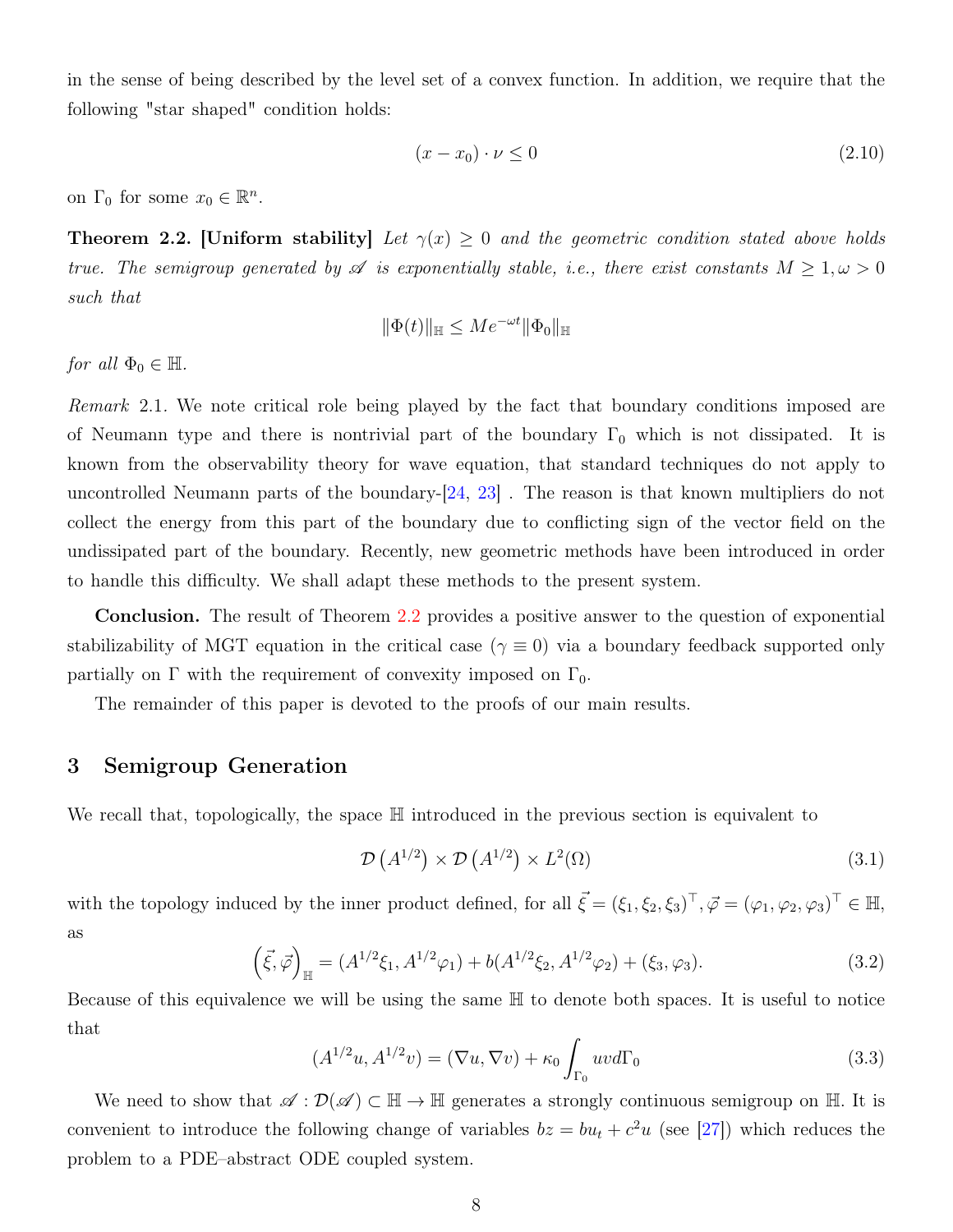in the sense of being described by the level set of a convex function. In addition, we require that the following "star shaped" condition holds:

$$
(x - x_0) \cdot \nu \le 0 \tag{2.10}
$$

on  $\Gamma_0$  for some  $x_0 \in \mathbb{R}^n$ .

<span id="page-7-0"></span>**Theorem 2.2.** [Uniform stability] Let  $\gamma(x) \geq 0$  and the geometric condition stated above holds true. The semigroup generated by  $\mathscr A$  is exponentially stable, i.e., there exist constants  $M \geq 1, \omega > 0$ such that

$$
\|\Phi(t)\|_{\mathbb{H}} \leq Me^{-\omega t} \|\Phi_0\|_{\mathbb{H}}
$$

for all  $\Phi_0 \in \mathbb{H}$ .

Remark 2.1. We note critical role being played by the fact that boundary conditions imposed are of Neumann type and there is nontrivial part of the boundary  $\Gamma_0$  which is not dissipated. It is known from the observability theory for wave equation, that standard techniques do not apply to uncontrolled Neumann parts of the boundary-[\[24,](#page-23-4) [23\]](#page-23-8) . The reason is that known multipliers do not collect the energy from this part of the boundary due to conflicting sign of the vector field on the undissipated part of the boundary. Recently, new geometric methods have been introduced in order to handle this difficulty. We shall adapt these methods to the present system.

Conclusion. The result of Theorem [2.2](#page-7-0) provides a positive answer to the question of exponential stabilizability of MGT equation in the critical case ( $\gamma \equiv 0$ ) via a boundary feedback supported only partially on  $\Gamma$  with the requirement of convexity imposed on  $\Gamma_0$ .

The remainder of this paper is devoted to the proofs of our main results.

## 3 Semigroup Generation

We recall that, topologically, the space  $\mathbb H$  introduced in the previous section is equivalent to

$$
\mathcal{D}\left(A^{1/2}\right) \times \mathcal{D}\left(A^{1/2}\right) \times L^2(\Omega) \tag{3.1}
$$

with the topology induced by the inner product defined, for all  $\vec{\xi} = (\xi_1, \xi_2, \xi_3)^{\top}, \vec{\varphi} = (\varphi_1, \varphi_2, \varphi_3)^{\top} \in \mathbb{H}$ , as

$$
(\vec{\xi}, \vec{\varphi})_{\mathbb{H}} = (A^{1/2}\xi_1, A^{1/2}\varphi_1) + b(A^{1/2}\xi_2, A^{1/2}\varphi_2) + (\xi_3, \varphi_3). \tag{3.2}
$$

Because of this equivalence we will be using the same H to denote both spaces. It is useful to notice that

<span id="page-7-1"></span>
$$
(A^{1/2}u, A^{1/2}v) = (\nabla u, \nabla v) + \kappa_0 \int_{\Gamma_0} uv d\Gamma_0
$$
\n(3.3)

We need to show that  $\mathscr{A}: \mathcal{D}(\mathscr{A}) \subset \mathbb{H} \to \mathbb{H}$  generates a strongly continuous semigroup on  $\mathbb{H}$ . It is convenient to introduce the following change of variables  $bz = bu_t + c^2u$  (see [\[27\]](#page-24-0)) which reduces the problem to a PDE–abstract ODE coupled system.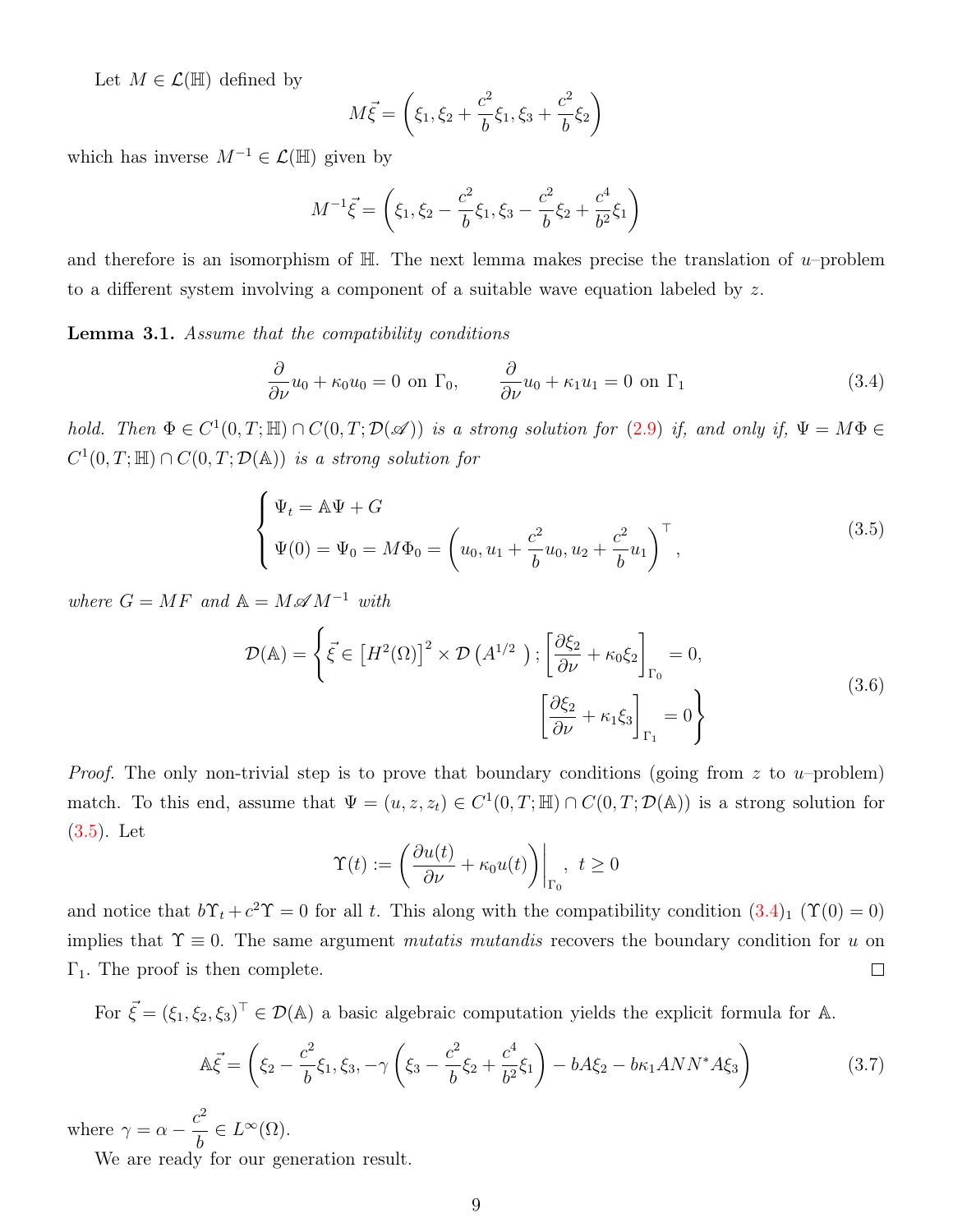Let  $M \in \mathcal{L}(\mathbb{H})$  defined by

$$
M\vec{\xi} = \left(\xi_1, \xi_2 + \frac{c^2}{b}\xi_1, \xi_3 + \frac{c^2}{b}\xi_2\right)
$$

which has inverse  $M^{-1} \in \mathcal{L}(\mathbb{H})$  given by

$$
M^{-1}\vec{\xi} = \left(\xi_1, \xi_2 - \frac{c^2}{b}\xi_1, \xi_3 - \frac{c^2}{b}\xi_2 + \frac{c^4}{b^2}\xi_1\right)
$$

and therefore is an isomorphism of  $\mathbb{H}$ . The next lemma makes precise the translation of u–problem to a different system involving a component of a suitable wave equation labeled by z.

<span id="page-8-2"></span>**Lemma 3.1.** Assume that the compatibility conditions

<span id="page-8-1"></span>
$$
\frac{\partial}{\partial \nu}u_0 + \kappa_0 u_0 = 0 \text{ on } \Gamma_0, \qquad \frac{\partial}{\partial \nu}u_0 + \kappa_1 u_1 = 0 \text{ on } \Gamma_1 \tag{3.4}
$$

hold. Then  $\Phi \in C^1(0,T;\mathbb{H}) \cap C(0,T;\mathcal{D}(\mathscr{A}))$  is a strong solution for  $(2.9)$  if, and only if,  $\Psi = M\Phi \in C^1(0,T;\mathbb{H})$  $C^1(0,T;\mathbb{H})\cap C(0,T;\mathcal{D}(\mathbb{A}))$  is a strong solution for

<span id="page-8-0"></span>
$$
\begin{cases} \Psi_t = A\Psi + G \\ \Psi(0) = \Psi_0 = M\Phi_0 = \left(u_0, u_1 + \frac{c^2}{b}u_0, u_2 + \frac{c^2}{b}u_1\right)^\top, \end{cases}
$$
\n(3.5)

where  $G = MF$  and  $\mathbb{A} = M \mathscr{A} M^{-1}$  with

$$
\mathcal{D}(\mathbb{A}) = \left\{ \vec{\xi} \in \left[ H^2(\Omega) \right]^2 \times \mathcal{D} \left( A^{1/2} \right) ; \left[ \frac{\partial \xi_2}{\partial \nu} + \kappa_0 \xi_2 \right]_{\Gamma_0} = 0, \left[ \frac{\partial \xi_2}{\partial \nu} + \kappa_1 \xi_3 \right]_{\Gamma_1} = 0 \right\}
$$
\n(3.6)

*Proof.* The only non-trivial step is to prove that boundary conditions (going from z to u–problem) match. To this end, assume that  $\Psi = (u, z, z_t) \in C^1(0,T;\mathbb{H}) \cap C(0,T;\mathcal{D}(\mathbb{A}))$  is a strong solution for [\(3.5\)](#page-8-0). Let

$$
\Upsilon(t) := \left. \left( \frac{\partial u(t)}{\partial \nu} + \kappa_0 u(t) \right) \right|_{\Gamma_0}, \ t \ge 0
$$

and notice that  $b\Upsilon_t + c^2\Upsilon = 0$  for all t. This along with the compatibility condition  $(3.4)_1(\Upsilon(0) = 0)$  $(3.4)_1(\Upsilon(0) = 0)$ implies that  $\Upsilon \equiv 0$ . The same argument *mutatis mutandis* recovers the boundary condition for u on  $\Gamma_1$ . The proof is then complete.  $\Box$ 

For  $\vec{\xi} = (\xi_1, \xi_2, \xi_3)^T \in \mathcal{D}(\mathbb{A})$  a basic algebraic computation yields the explicit formula for A.

$$
\mathbb{A}\vec{\xi} = \left(\xi_2 - \frac{c^2}{b}\xi_1, \xi_3, -\gamma\left(\xi_3 - \frac{c^2}{b}\xi_2 + \frac{c^4}{b^2}\xi_1\right) - bA\xi_2 - b\kappa_1 ANN^*A\xi_3\right) \tag{3.7}
$$

where  $\gamma = \alpha - \frac{c^2}{l}$ b  $\in L^{\infty}(\Omega).$ 

We are ready for our generation result.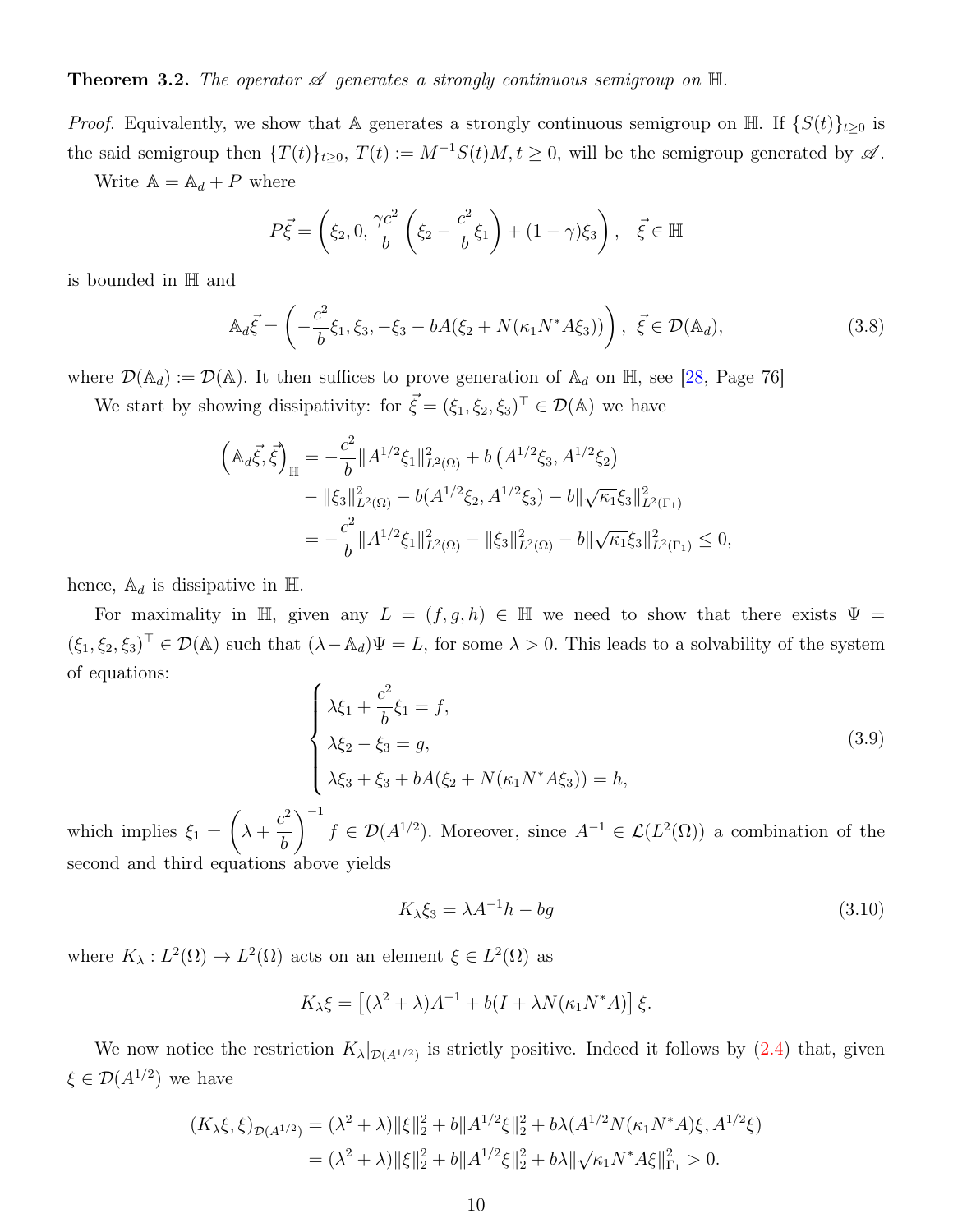<span id="page-9-2"></span>*Proof.* Equivalently, we show that A generates a strongly continuous semigroup on  $\mathbb{H}$ . If  $\{S(t)\}_{t>0}$  is the said semigroup then  $\{T(t)\}_{t\geq 0}$ ,  $T(t) := M^{-1}S(t)M$ ,  $t \geq 0$ , will be the semigroup generated by  $\mathscr A$ . Write  $\mathbb{A} = \mathbb{A}_d + P$  where

$$
P\vec{\xi} = \left(\xi_2, 0, \frac{\gamma c^2}{b} \left(\xi_2 - \frac{c^2}{b} \xi_1\right) + (1 - \gamma)\xi_3\right), \quad \vec{\xi} \in \mathbb{H}
$$

is bounded in H and

$$
\mathbb{A}_d \vec{\xi} = \left( -\frac{c^2}{b} \xi_1, \xi_3, -\xi_3 - bA(\xi_2 + N(\kappa_1 N^* A \xi_3)) \right), \ \vec{\xi} \in \mathcal{D}(\mathbb{A}_d), \tag{3.8}
$$

where  $\mathcal{D}(\mathbb{A}_d) := \mathcal{D}(\mathbb{A})$ . It then suffices to prove generation of  $\mathbb{A}_d$  on  $\mathbb{H}$ , see [\[28,](#page-24-3) Page 76]

We start by showing dissipativity: for  $\vec{\xi} = (\xi_1, \xi_2, \xi_3)^T \in \mathcal{D}(\mathbb{A})$  we have

$$
\left(\mathbb{A}_{d}\vec{\xi},\vec{\xi}\right)_{\mathbb{H}} = -\frac{c^{2}}{b}||A^{1/2}\xi_{1}||_{L^{2}(\Omega)}^{2} + b\left(A^{1/2}\xi_{3}, A^{1/2}\xi_{2}\right)
$$

$$
-||\xi_{3}||_{L^{2}(\Omega)}^{2} - b(A^{1/2}\xi_{2}, A^{1/2}\xi_{3}) - b||\sqrt{\kappa_{1}}\xi_{3}||_{L^{2}(\Gamma_{1})}^{2}
$$

$$
= -\frac{c^{2}}{b}||A^{1/2}\xi_{1}||_{L^{2}(\Omega)}^{2} - ||\xi_{3}||_{L^{2}(\Omega)}^{2} - b||\sqrt{\kappa_{1}}\xi_{3}||_{L^{2}(\Gamma_{1})}^{2} \leq 0,
$$

hence,  $\mathbb{A}_d$  is dissipative in H.

For maximality in H, given any  $L = (f, g, h) \in \mathbb{H}$  we need to show that there exists  $\Psi =$  $(\xi_1, \xi_2, \xi_3)^T \in \mathcal{D}(\mathbb{A})$  such that  $(\lambda - \mathbb{A}_d)\Psi = L$ , for some  $\lambda > 0$ . This leads to a solvability of the system of equations:

<span id="page-9-1"></span>
$$
\begin{cases}\n\lambda \xi_1 + \frac{c^2}{b} \xi_1 = f, \\
\lambda \xi_2 - \xi_3 = g, \\
\lambda \xi_3 + \xi_3 + bA(\xi_2 + N(\kappa_1 N^* A \xi_3)) = h,\n\end{cases}
$$
\n(3.9)

which implies  $\xi_1 =$  $\sqrt{ }$  $\lambda$  +  $c^2$ b  $\setminus$ <sup>-1</sup>  $f \in \mathcal{D}(A^{1/2})$ . Moreover, since  $A^{-1} \in \mathcal{L}(L^2(\Omega))$  a combination of the second and third equations above yields

<span id="page-9-0"></span>
$$
K_{\lambda}\xi_3 = \lambda A^{-1}h - bg \tag{3.10}
$$

where  $K_{\lambda}: L^2(\Omega) \to L^2(\Omega)$  acts on an element  $\xi \in L^2(\Omega)$  as

$$
K_{\lambda}\xi = \left[ (\lambda^2 + \lambda)A^{-1} + b(I + \lambda N(\kappa_1 N^*A)) \right] \xi.
$$

We now notice the restriction  $K_{\lambda}|_{\mathcal{D}(A^{1/2})}$  is strictly positive. Indeed it follows by  $(2.4)$  that, given  $\xi \in \mathcal{D}(A^{1/2})$  we have

$$
(K_{\lambda}\xi, \xi)_{\mathcal{D}(A^{1/2})} = (\lambda^2 + \lambda) \|\xi\|_2^2 + b \|A^{1/2}\xi\|_2^2 + b\lambda (A^{1/2}N(\kappa_1 N^*A)\xi, A^{1/2}\xi)
$$
  
=  $(\lambda^2 + \lambda) \|\xi\|_2^2 + b \|A^{1/2}\xi\|_2^2 + b\lambda \|\sqrt{\kappa_1}N^*A\xi\|_{\Gamma_1}^2 > 0.$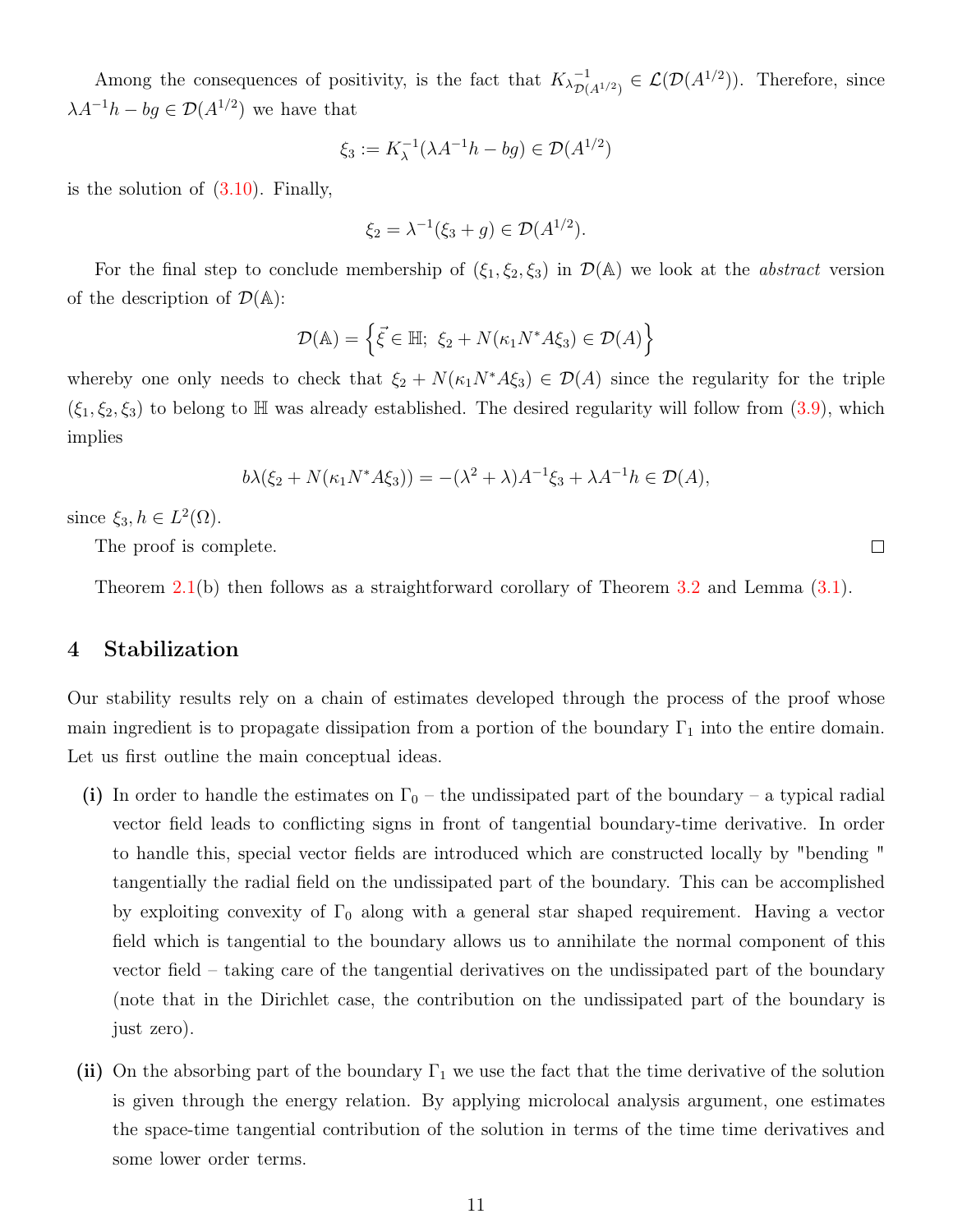Among the consequences of positivity, is the fact that  $K_{\lambda p}^{-1}$  $_{\mathcal{D}(A^{1/2})}^{-1} \in \mathcal{L}(\mathcal{D}(A^{1/2}))$ . Therefore, since  $\lambda A^{-1}h - bg \in \mathcal{D}(A^{1/2})$  we have that

$$
\xi_3 := K_{\lambda}^{-1}(\lambda A^{-1}h - bg) \in \mathcal{D}(A^{1/2})
$$

is the solution of  $(3.10)$ . Finally,

$$
\xi_2 = \lambda^{-1}(\xi_3 + g) \in \mathcal{D}(A^{1/2}).
$$

For the final step to conclude membership of  $(\xi_1, \xi_2, \xi_3)$  in  $\mathcal{D}(\mathbb{A})$  we look at the *abstract* version of the description of  $\mathcal{D}(\mathbb{A})$ :

$$
\mathcal{D}(\mathbb{A}) = \left\{ \vec{\xi} \in \mathbb{H}; \ \xi_2 + N(\kappa_1 N^* A \xi_3) \in \mathcal{D}(A) \right\}
$$

whereby one only needs to check that  $\xi_2 + N(\kappa_1 N^* A \xi_3) \in \mathcal{D}(A)$  since the regularity for the triple  $(\xi_1, \xi_2, \xi_3)$  to belong to H was already established. The desired regularity will follow from  $(3.9)$ , which implies

$$
b\lambda(\xi_2+N(\kappa_1N^*A\xi_3))=-(\lambda^2+\lambda)A^{-1}\xi_3+\lambda A^{-1}h\in\mathcal{D}(A),
$$

since  $\xi_3, h \in L^2(\Omega)$ .

The proof is complete.

Theorem [2.1\(](#page-6-0)b) then follows as a straightforward corollary of Theorem [3.2](#page-9-2) and Lemma [\(3.1\)](#page-8-2).

## 4 Stabilization

Our stability results rely on a chain of estimates developed through the process of the proof whose main ingredient is to propagate dissipation from a portion of the boundary  $\Gamma_1$  into the entire domain. Let us first outline the main conceptual ideas.

- (i) In order to handle the estimates on  $\Gamma_0$  the undissipated part of the boundary a typical radial vector field leads to conflicting signs in front of tangential boundary-time derivative. In order to handle this, special vector fields are introduced which are constructed locally by "bending " tangentially the radial field on the undissipated part of the boundary. This can be accomplished by exploiting convexity of  $\Gamma_0$  along with a general star shaped requirement. Having a vector field which is tangential to the boundary allows us to annihilate the normal component of this vector field – taking care of the tangential derivatives on the undissipated part of the boundary (note that in the Dirichlet case, the contribution on the undissipated part of the boundary is just zero).
- (ii) On the absorbing part of the boundary  $\Gamma_1$  we use the fact that the time derivative of the solution is given through the energy relation. By applying microlocal analysis argument, one estimates the space-time tangential contribution of the solution in terms of the time time derivatives and some lower order terms.

 $\Box$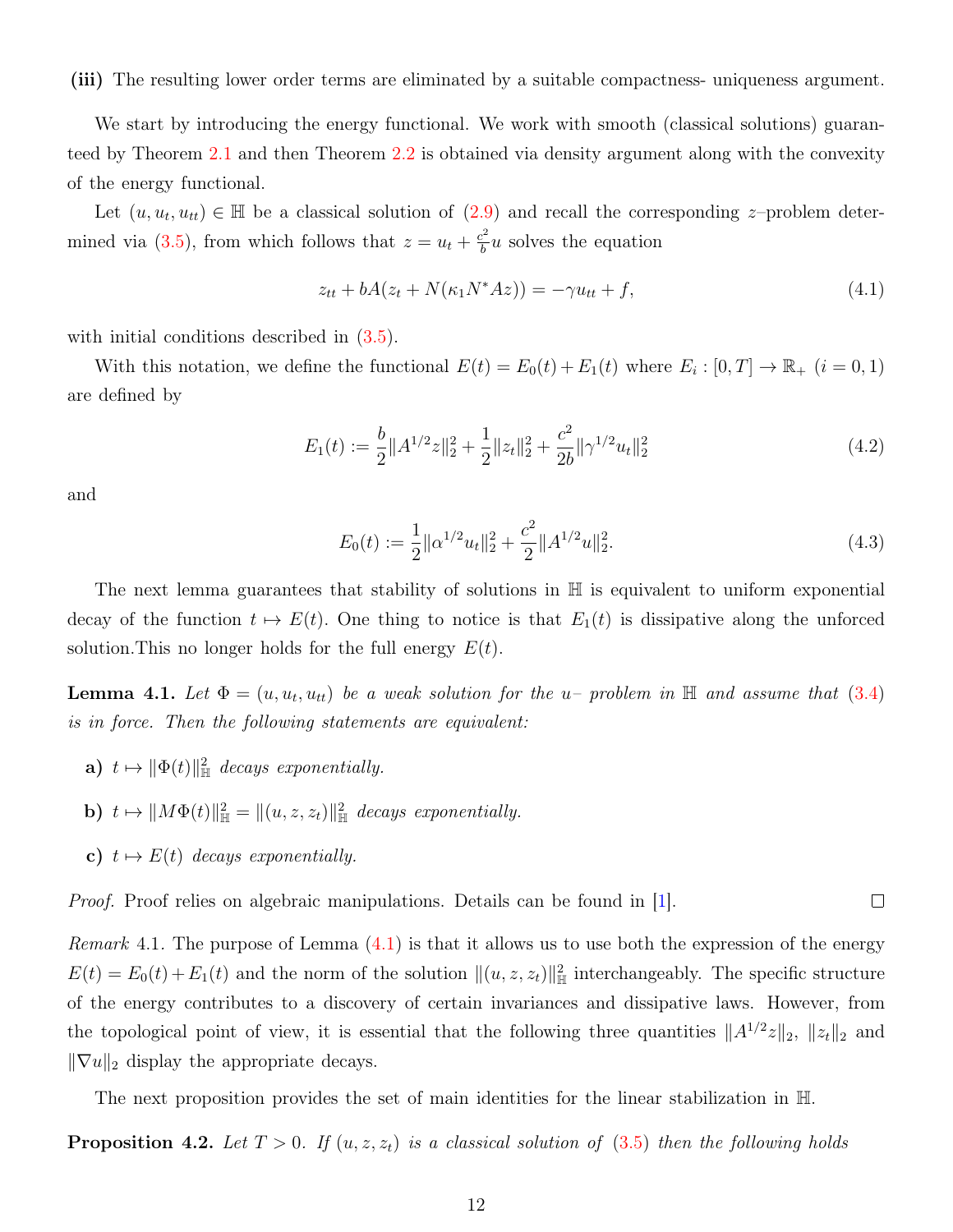(iii) The resulting lower order terms are eliminated by a suitable compactness- uniqueness argument.

We start by introducing the energy functional. We work with smooth (classical solutions) guaranteed by Theorem [2.1](#page-6-0) and then Theorem [2.2](#page-7-0) is obtained via density argument along with the convexity of the energy functional.

Let  $(u, u_t, u_{tt}) \in \mathbb{H}$  be a classical solution of  $(2.9)$  and recall the corresponding z-problem deter-mined via [\(3.5\)](#page-8-0), from which follows that  $z = u_t + \frac{c^2}{b}$  $\frac{b^2}{b}u$  solves the equation

<span id="page-11-1"></span>
$$
z_{tt} + bA(z_t + N(\kappa_1 N^* A z)) = -\gamma u_{tt} + f,\tag{4.1}
$$

with initial conditions described in  $(3.5)$ .

With this notation, we define the functional  $E(t) = E_0(t) + E_1(t)$  where  $E_i : [0, T] \to \mathbb{R}_+$   $(i = 0, 1)$ are defined by

$$
E_1(t) := \frac{b}{2} \|A^{1/2}z\|_2^2 + \frac{1}{2} \|z_t\|_2^2 + \frac{c^2}{2b} \|\gamma^{1/2} u_t\|_2^2
$$
\n(4.2)

and

$$
E_0(t) := \frac{1}{2} ||\alpha^{1/2} u_t||_2^2 + \frac{c^2}{2} ||A^{1/2} u||_2^2.
$$
\n(4.3)

 $\Box$ 

The next lemma guarantees that stability of solutions in H is equivalent to uniform exponential decay of the function  $t \mapsto E(t)$ . One thing to notice is that  $E_1(t)$  is dissipative along the unforced solution. This no longer holds for the full energy  $E(t)$ .

<span id="page-11-0"></span>**Lemma 4.1.** Let  $\Phi = (u, u_t, u_{tt})$  be a weak solution for the u- problem in  $\mathbb{H}$  and assume that [\(3.4\)](#page-8-1) is in force. Then the following statements are equivalent:

- **a**)  $t \mapsto ||\Phi(t)||_{\mathbb{H}}^2$  decays exponentially.
- **b**)  $t \mapsto ||M\Phi(t)||_{\mathbb{H}}^2 = ||(u, z, z_t)||_{\mathbb{H}}^2$  decays exponentially.
- c)  $t \mapsto E(t)$  decays exponentially.

*Proof.* Proof relies on algebraic manipulations. Details can be found in [\[1\]](#page-21-1).

*Remark* 4.1. The purpose of Lemma  $(4.1)$  is that it allows us to use both the expression of the energy  $E(t) = E_0(t) + E_1(t)$  and the norm of the solution  $\|(u, z, z_t)\|_{\mathbb{H}}^2$  interchangeably. The specific structure of the energy contributes to a discovery of certain invariances and dissipative laws. However, from the topological point of view, it is essential that the following three quantities  $||A^{1/2}z||_2$ ,  $||z_t||_2$  and  $\|\nabla u\|_2$  display the appropriate decays.

The next proposition provides the set of main identities for the linear stabilization in H.

**Proposition 4.2.** Let  $T > 0$ . If  $(u, z, z_t)$  is a classical solution of  $(3.5)$  then the following holds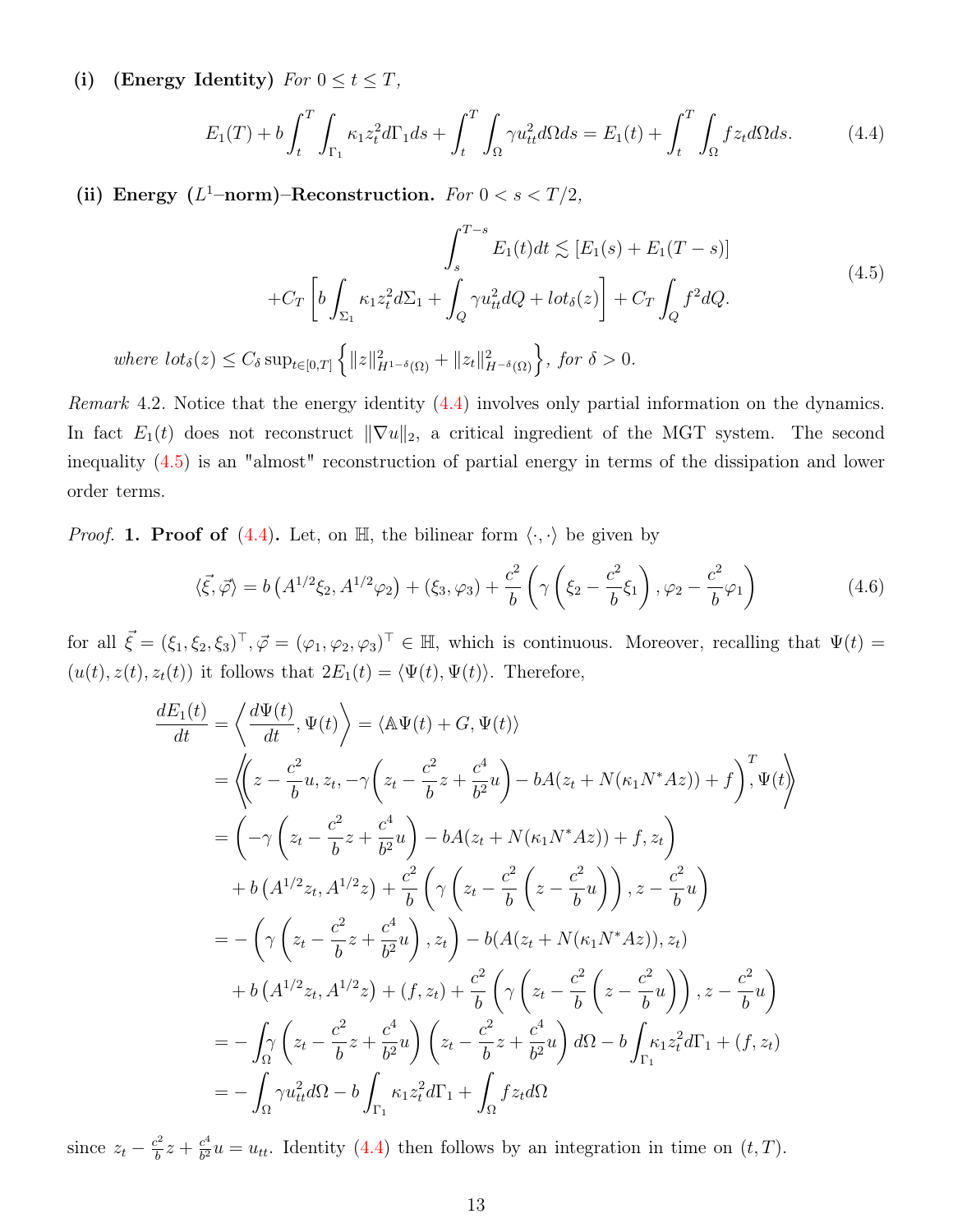(i) (Energy Identity)  $For\ 0 \leq t \leq T$ ,

<span id="page-12-1"></span><span id="page-12-0"></span>
$$
E_1(T) + b \int_t^T \int_{\Gamma_1} \kappa_1 z_t^2 d\Gamma_1 ds + \int_t^T \int_{\Omega} \gamma u_{tt}^2 d\Omega ds = E_1(t) + \int_t^T \int_{\Omega} f z_t d\Omega ds. \tag{4.4}
$$

(ii) Energy ( $L^1$ -norm)-Reconstruction. For  $0 < s < T/2$ ,

$$
\int_{s}^{T-s} E_{1}(t)dt \lesssim [E_{1}(s) + E_{1}(T-s)]
$$
  
+
$$
C_{T} \left[ b \int_{\Sigma_{1}} \kappa_{1} z_{t}^{2} d\Sigma_{1} + \int_{Q} \gamma u_{tt}^{2} dQ + l \sigma t_{\delta}(z) \right] + C_{T} \int_{Q} f^{2} dQ.
$$
  
where  $l \sigma t_{\delta}(z) \le C_{\delta} \sup_{t \in [0,T]} \left\{ ||z||_{H^{1-\delta}(\Omega)}^{2} + ||z_{t}||_{H^{-\delta}(\Omega)}^{2} \right\}, \text{ for } \delta > 0.$  (4.5)

Remark 4.2. Notice that the energy identity  $(4.4)$  involves only partial information on the dynamics. In fact  $E_1(t)$  does not reconstruct  $\|\nabla u\|_2$ , a critical ingredient of the MGT system. The second inequality [\(4.5\)](#page-12-1) is an "almost" reconstruction of partial energy in terms of the dissipation and lower order terms.

*Proof.* 1. Proof of [\(4.4\)](#page-12-0). Let, on  $\mathbb{H}$ , the bilinear form  $\langle \cdot, \cdot \rangle$  be given by

$$
\langle \vec{\xi}, \vec{\varphi} \rangle = b \left( A^{1/2} \xi_2, A^{1/2} \varphi_2 \right) + (\xi_3, \varphi_3) + \frac{c^2}{b} \left( \gamma \left( \xi_2 - \frac{c^2}{b} \xi_1 \right), \varphi_2 - \frac{c^2}{b} \varphi_1 \right)
$$
(4.6)

for all  $\vec{\xi} = (\xi_1, \xi_2, \xi_3)^T, \vec{\varphi} = (\varphi_1, \varphi_2, \varphi_3)^T \in \mathbb{H}$ , which is continuous. Moreover, recalling that  $\Psi(t) =$  $(u(t), z(t), z_t(t))$  it follows that  $2E_1(t) = \langle \Psi(t), \Psi(t) \rangle$ . Therefore,

$$
\frac{dE_1(t)}{dt} = \left\langle \frac{d\Psi(t)}{dt}, \Psi(t) \right\rangle = \left\langle \mathbb{A}\Psi(t) + G, \Psi(t) \right\rangle
$$
  
\n
$$
= \left\langle \left( z - \frac{c^2}{b} u, z_t, -\gamma \left( z_t - \frac{c^2}{b} z + \frac{c^4}{b^2} u \right) - bA(z_t + N(\kappa_1 N^* A z)) + f \right), \Psi(t) \right\rangle
$$
  
\n
$$
= \left( -\gamma \left( z_t - \frac{c^2}{b} z + \frac{c^4}{b^2} u \right) - bA(z_t + N(\kappa_1 N^* A z)) + f, z_t \right)
$$
  
\n
$$
+ b \left( A^{1/2} z_t, A^{1/2} z \right) + \frac{c^2}{b} \left( \gamma \left( z_t - \frac{c^2}{b} \left( z - \frac{c^2}{b} u \right) \right), z - \frac{c^2}{b} u \right)
$$
  
\n
$$
= - \left( \gamma \left( z_t - \frac{c^2}{b} z + \frac{c^4}{b^2} u \right), z_t \right) - b(A(z_t + N(\kappa_1 N^* A z)), z_t)
$$
  
\n
$$
+ b \left( A^{1/2} z_t, A^{1/2} z \right) + (f, z_t) + \frac{c^2}{b} \left( \gamma \left( z_t - \frac{c^2}{b} \left( z - \frac{c^2}{b} u \right) \right), z - \frac{c^2}{b} u \right)
$$
  
\n
$$
= - \int_{\Omega} \left( z_t - \frac{c^2}{b} z + \frac{c^4}{b^2} u \right) \left( z_t - \frac{c^2}{b} z + \frac{c^4}{b^2} u \right) d\Omega - b \int_{\Gamma_1} \kappa_1 z_t^2 d\Gamma_1 + (f, z_t)
$$
  
\n
$$
= - \int_{\Omega} \gamma u_{tt}^2 d\Omega - b \int_{\Gamma_1} \kappa_1 z_t^2 d\Gamma_1 + \int_{\Omega} f z_t d\Omega
$$

since  $z_t - \frac{c^2}{h}$  $\frac{c^2}{b}z + \frac{c^4}{b^2}$  $\frac{c^*}{b^2}u = u_{tt}$ . Identity [\(4.4\)](#page-12-0) then follows by an integration in time on  $(t, T)$ .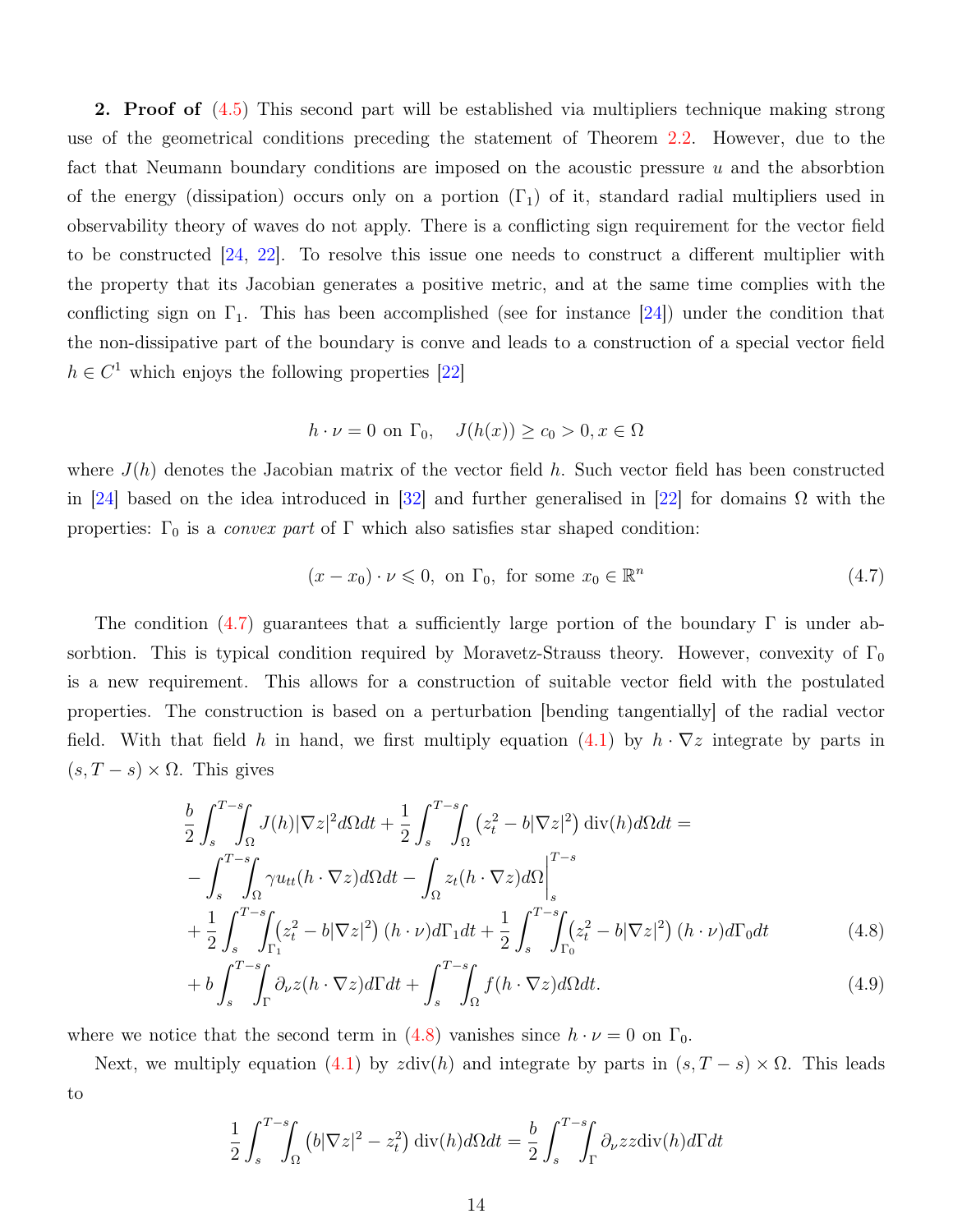2. Proof of  $(4.5)$  This second part will be established via multipliers technique making strong use of the geometrical conditions preceding the statement of Theorem [2.2.](#page-7-0) However, due to the fact that Neumann boundary conditions are imposed on the acoustic pressure  $u$  and the absorbtion of the energy (dissipation) occurs only on a portion  $(\Gamma_1)$  of it, standard radial multipliers used in observability theory of waves do not apply. There is a conflicting sign requirement for the vector field to be constructed [\[24,](#page-23-4) [22\]](#page-23-9). To resolve this issue one needs to construct a different multiplier with the property that its Jacobian generates a positive metric, and at the same time complies with the conflicting sign on  $\Gamma_1$ . This has been accomplished (see for instance  $[24]$ ) under the condition that the non-dissipative part of the boundary is conve and leads to a construction of a special vector field  $h \in C^1$  which enjoys the following properties [\[22\]](#page-23-9)

$$
h \cdot \nu = 0 \text{ on } \Gamma_0, \quad J(h(x)) \ge c_0 > 0, x \in \Omega
$$

where  $J(h)$  denotes the Jacobian matrix of the vector field h. Such vector field has been constructed in [\[24\]](#page-23-4) based on the idea introduced in [\[32\]](#page-24-4) and further generalised in [\[22\]](#page-23-9) for domains  $\Omega$  with the properties:  $\Gamma_0$  is a *convex part* of  $\Gamma$  which also satisfies star shaped condition:

<span id="page-13-1"></span><span id="page-13-0"></span>
$$
(x - x_0) \cdot \nu \leq 0, \text{ on } \Gamma_0, \text{ for some } x_0 \in \mathbb{R}^n
$$
\n
$$
(4.7)
$$

The condition [\(4.7\)](#page-13-0) guarantees that a sufficiently large portion of the boundary  $\Gamma$  is under absorbtion. This is typical condition required by Moravetz-Strauss theory. However, convexity of  $\Gamma_0$ is a new requirement. This allows for a construction of suitable vector field with the postulated properties. The construction is based on a perturbation [bending tangentially] of the radial vector field. With that field h in hand, we first multiply equation  $(4.1)$  by  $h \cdot \nabla z$  integrate by parts in  $(s, T - s) \times \Omega$ . This gives

$$
\frac{b}{2} \int_{s}^{T-s} \int_{\Omega} J(h) |\nabla z|^{2} d\Omega dt + \frac{1}{2} \int_{s}^{T-s} \int_{\Omega} (z_{t}^{2} - b|\nabla z|^{2}) \operatorname{div}(h) d\Omega dt =
$$
\n
$$
- \int_{s}^{T-s} \int_{\Omega} \gamma u_{tt} (h \cdot \nabla z) d\Omega dt - \int_{\Omega} z_{t} (h \cdot \nabla z) d\Omega \Big|_{s}^{T-s}
$$
\n
$$
+ \frac{1}{2} \int_{s}^{T-s} \int_{\Gamma_{1}} (z_{t}^{2} - b|\nabla z|^{2}) (h \cdot \nu) d\Gamma_{1} dt + \frac{1}{2} \int_{s}^{T-s} \int_{\Gamma_{0}} (z_{t}^{2} - b|\nabla z|^{2}) (h \cdot \nu) d\Gamma_{0} dt \qquad (4.8)
$$
\n
$$
+ b \int_{s}^{T-s} \int_{\Gamma} \partial_{\nu} z (h \cdot \nabla z) d\Gamma dt + \int_{s}^{T-s} \int_{\Omega} f(h \cdot \nabla z) d\Omega dt. \qquad (4.9)
$$

where we notice that the second term in [\(4.8\)](#page-13-1) vanishes since  $h \cdot \nu = 0$  on  $\Gamma_0$ .

Next, we multiply equation [\(4.1\)](#page-11-1) by zdiv(h) and integrate by parts in  $(s, T - s) \times \Omega$ . This leads to

<span id="page-13-2"></span>
$$
\frac{1}{2} \int_s^{T-s} \int_{\Omega} \left( b|\nabla z|^2 - z_t^2 \right) \operatorname{div}(h) d\Omega dt = \frac{b}{2} \int_s^{T-s} \int_{\Gamma} \partial_{\nu} z z \operatorname{div}(h) d\Gamma dt
$$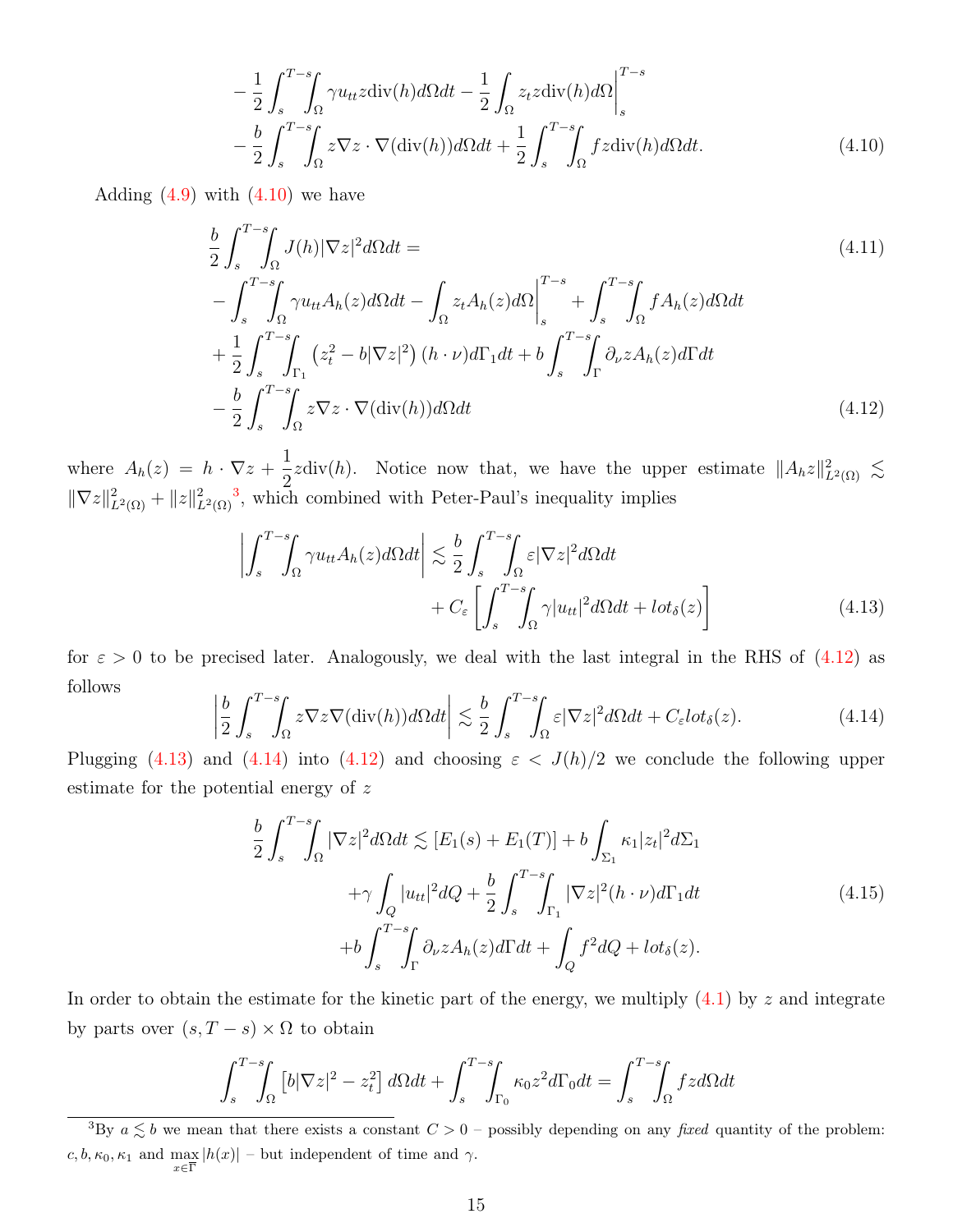<span id="page-14-0"></span>
$$
-\frac{1}{2} \int_{s}^{T-s} \int_{\Omega} \gamma u_{tt} z \operatorname{div}(h) d\Omega dt - \frac{1}{2} \int_{\Omega} z_t z \operatorname{div}(h) d\Omega \Big|_{s}^{T-s} - \frac{b}{2} \int_{s}^{T-s} \int_{\Omega} z \nabla z \cdot \nabla (\operatorname{div}(h)) d\Omega dt + \frac{1}{2} \int_{s}^{T-s} \int_{\Omega} f z \operatorname{div}(h) d\Omega dt.
$$
 (4.10)

Adding  $(4.9)$  with  $(4.10)$  we have

$$
\frac{b}{2} \int_{s}^{T-s} \int_{\Omega} J(h) |\nabla z|^{2} d\Omega dt =
$$
\n
$$
- \int_{s}^{T-s} \int_{\Omega} \gamma u_{tt} A_{h}(z) d\Omega dt - \int_{\Omega} z_{t} A_{h}(z) d\Omega \Big|_{s}^{T-s} + \int_{s}^{T-s} \int_{\Omega} f A_{h}(z) d\Omega dt
$$
\n
$$
+ \frac{1}{2} \int_{s}^{T-s} \int_{\Gamma_{1}} (z_{t}^{2} - b|\nabla z|^{2}) (h \cdot \nu) d\Gamma_{1} dt + b \int_{s}^{T-s} \int_{\Gamma} \partial_{\nu} z A_{h}(z) d\Gamma dt
$$
\n
$$
- \frac{b}{2} \int_{s}^{T-s} \int_{\Omega} z \nabla z \cdot \nabla (\text{div}(h)) d\Omega dt \qquad (4.12)
$$

where  $A_h(z) = h \cdot \nabla z + \frac{1}{2}$  $\frac{1}{2}z \text{div}(h)$ . Notice now that, we have the upper estimate  $||A_hz||^2_{L^2(\Omega)} \lesssim$  $\|\nabla z\|_{L^2(\Omega)}^2 + \|z\|_{L^2(\Omega)}^2$ , which combined with Peter-Paul's inequality implies

<span id="page-14-3"></span><span id="page-14-2"></span>
$$
\left| \int_{s}^{T-s} \int_{\Omega} \gamma u_{tt} A_h(z) d\Omega dt \right| \lesssim \frac{b}{2} \int_{s}^{T-s} \int_{\Omega} \varepsilon |\nabla z|^2 d\Omega dt + C_{\varepsilon} \left[ \int_{s}^{T-s} \int_{\Omega} \gamma |u_{tt}|^2 d\Omega dt + l \sigma \delta(z) \right]
$$
(4.13)

for  $\varepsilon > 0$  to be precised later. Analogously, we deal with the last integral in the RHS of [\(4.12\)](#page-14-2) as follows

<span id="page-14-4"></span>
$$
\left| \frac{b}{2} \int_{s}^{T-s} \int_{\Omega} z \nabla z \nabla (\text{div}(h)) d\Omega dt \right| \lesssim \frac{b}{2} \int_{s}^{T-s} \int_{\Omega} \varepsilon |\nabla z|^{2} d\Omega dt + C_{\varepsilon} l \sigma_{\delta}(z). \tag{4.14}
$$

Plugging [\(4.13\)](#page-14-3) and [\(4.14\)](#page-14-4) into [\(4.12\)](#page-14-2) and choosing  $\varepsilon < J(h)/2$  we conclude the following upper estimate for the potential energy of z

<span id="page-14-5"></span>
$$
\frac{b}{2} \int_{s}^{T-s} \int_{\Omega} |\nabla z|^{2} d\Omega dt \lesssim [E_{1}(s) + E_{1}(T)] + b \int_{\Sigma_{1}} \kappa_{1} |z_{t}|^{2} d\Sigma_{1}
$$
\n
$$
+ \gamma \int_{Q} |u_{tt}|^{2} dQ + \frac{b}{2} \int_{s}^{T-s} \int_{\Gamma_{1}} |\nabla z|^{2} (h \cdot \nu) d\Gamma_{1} dt
$$
\n
$$
+ b \int_{s}^{T-s} \int_{\Gamma} \partial_{\nu} z A_{h}(z) d\Gamma dt + \int_{Q} f^{2} dQ + l \sigma t_{\delta}(z).
$$
\n(4.15)

In order to obtain the estimate for the kinetic part of the energy, we multiply  $(4.1)$  by z and integrate by parts over  $(s, T - s) \times \Omega$  to obtain

$$
\int_{s}^{T-s} \int_{\Omega} \left[ b|\nabla z|^2 - z_t^2 \right] d\Omega dt + \int_{s}^{T-s} \int_{\Gamma_0} \kappa_0 z^2 d\Gamma_0 dt = \int_{s}^{T-s} \int_{\Omega} f z d\Omega dt
$$

<span id="page-14-1"></span><sup>&</sup>lt;sup>3</sup>By  $a \lesssim b$  we mean that there exists a constant  $C > 0$  – possibly depending on any *fixed* quantity of the problem:  $c, b, \kappa_0, \kappa_1$  and  $\max_{x \in \overline{\Gamma}} |h(x)|$  – but independent of time and  $\gamma$ .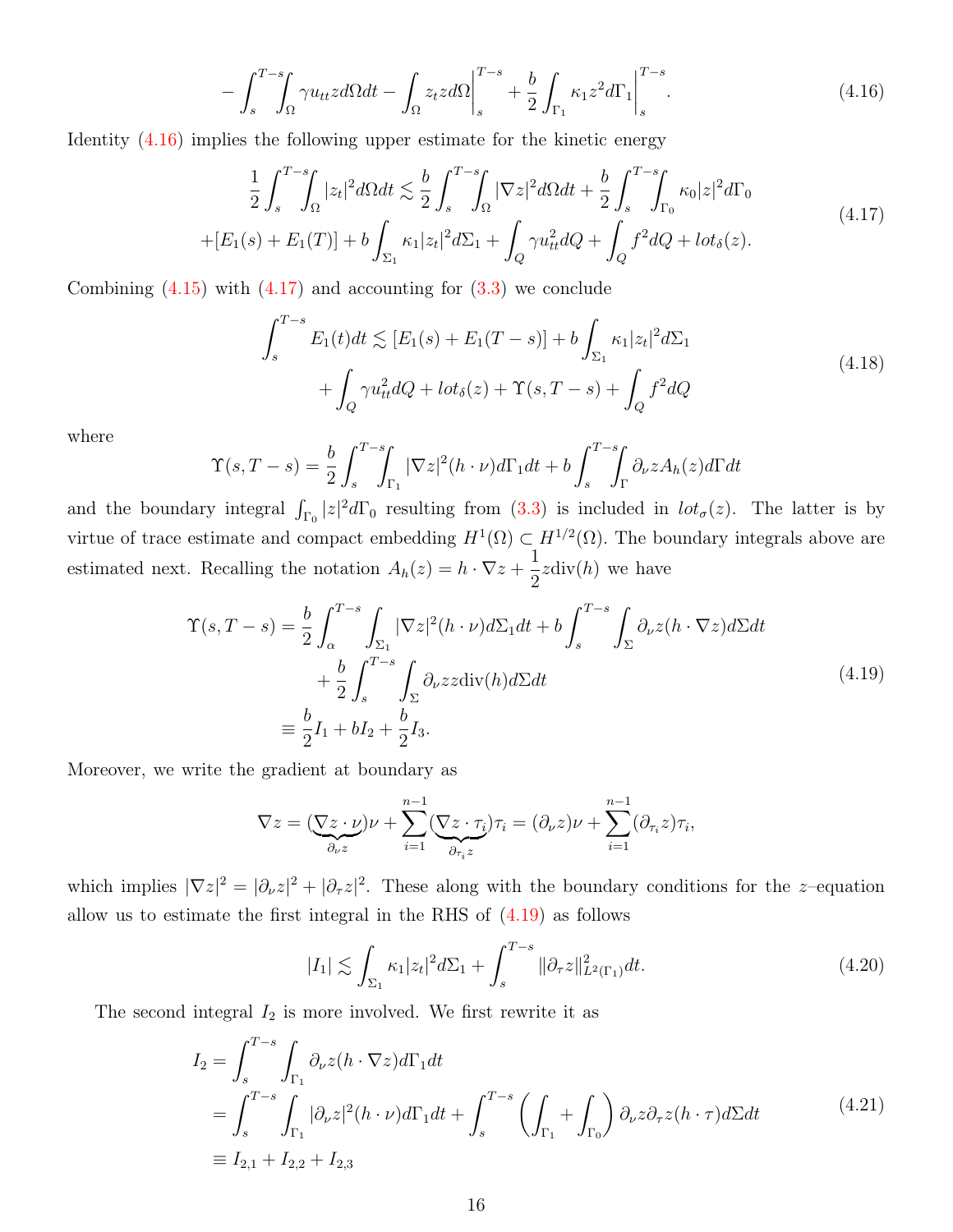<span id="page-15-0"></span>
$$
-\int_{s}^{T-s}\!\!\int_{\Omega}\gamma u_{tt}z d\Omega dt - \int_{\Omega}z_t z d\Omega\Big|_{s}^{T-s} + \frac{b}{2}\int_{\Gamma_1}\kappa_1 z^2 d\Gamma_1\Big|_{s}^{T-s}.\tag{4.16}
$$

Identity [\(4.16\)](#page-15-0) implies the following upper estimate for the kinetic energy

<span id="page-15-1"></span>
$$
\frac{1}{2} \int_{s}^{T-s} \int_{\Omega} |z_{t}|^{2} d\Omega dt \lesssim \frac{b}{2} \int_{s}^{T-s} \int_{\Omega} |\nabla z|^{2} d\Omega dt + \frac{b}{2} \int_{s}^{T-s} \int_{\Gamma_{0}} \kappa_{0} |z|^{2} d\Gamma_{0}
$$
\n
$$
+[E_{1}(s) + E_{1}(T)] + b \int_{\Sigma_{1}} \kappa_{1} |z_{t}|^{2} d\Sigma_{1} + \int_{Q} \gamma u_{tt}^{2} dQ + \int_{Q} f^{2} dQ + l \sigma t_{\delta}(z). \tag{4.17}
$$

Combining  $(4.15)$  with  $(4.17)$  and accounting for  $(3.3)$  we conclude

<span id="page-15-5"></span>
$$
\int_{s}^{T-s} E_{1}(t)dt \lesssim [E_{1}(s) + E_{1}(T-s)] + b \int_{\Sigma_{1}} \kappa_{1} |z_{t}|^{2} d\Sigma_{1} + \int_{Q} \gamma u_{tt}^{2} dQ + l \sigma t_{\delta}(z) + \Upsilon(s, T-s) + \int_{Q} f^{2} dQ \qquad (4.18)
$$

where

$$
\Upsilon(s,T-s) = \frac{b}{2} \int_s^{T-s} \int_{\Gamma_1} |\nabla z|^2 (h \cdot \nu) d\Gamma_1 dt + b \int_s^{T-s} \int_{\Gamma_1} \partial_{\nu} z A_h(z) d\Gamma dt
$$

and the boundary integral  $\int_{\Gamma_0} |z|^2 d\Gamma_0$  resulting from [\(3.3\)](#page-7-1) is included in  $\int_{\sigma} z$ . The latter is by virtue of trace estimate and compact embedding  $H^1(\Omega) \subset H^{1/2}(\Omega)$ . The boundary integrals above are estimated next. Recalling the notation  $A_h(z) = h \cdot \nabla z + \frac{1}{2}$ 2  $zdiv(h)$  we have

<span id="page-15-2"></span>
$$
\begin{split} \Upsilon(s,T-s) &= \frac{b}{2} \int_{\alpha}^{T-s} \int_{\Sigma_{1}} |\nabla z|^{2} (h \cdot \nu) d\Sigma_{1} dt + b \int_{s}^{T-s} \int_{\Sigma} \partial_{\nu} z (h \cdot \nabla z) d\Sigma dt \\ &+ \frac{b}{2} \int_{s}^{T-s} \int_{\Sigma} \partial_{\nu} z z \operatorname{div}(h) d\Sigma dt \\ &\equiv \frac{b}{2} I_{1} + b I_{2} + \frac{b}{2} I_{3} . \end{split} \tag{4.19}
$$

Moreover, we write the gradient at boundary as

$$
\nabla z = (\nabla z \cdot \nu)\nu + \sum_{i=1}^{n-1} (\nabla z \cdot \tau_i)\tau_i = (\partial_\nu z)\nu + \sum_{i=1}^{n-1} (\partial_{\tau_i} z)\tau_i,
$$

which implies  $|\nabla z|^2 = |\partial_\nu z|^2 + |\partial_\tau z|^2$ . These along with the boundary conditions for the z-equation allow us to estimate the first integral in the RHS of  $(4.19)$  as follows

<span id="page-15-4"></span>
$$
|I_1| \lesssim \int_{\Sigma_1} \kappa_1 |z_t|^2 d\Sigma_1 + \int_s^{T-s} \|\partial_\tau z\|_{L^2(\Gamma_1)}^2 dt. \tag{4.20}
$$

The second integral  $I_2$  is more involved. We first rewrite it as

<span id="page-15-3"></span>
$$
I_2 = \int_s^{T-s} \int_{\Gamma_1} \partial_\nu z (h \cdot \nabla z) d\Gamma_1 dt
$$
  
= 
$$
\int_s^{T-s} \int_{\Gamma_1} |\partial_\nu z|^2 (h \cdot \nu) d\Gamma_1 dt + \int_s^{T-s} \left( \int_{\Gamma_1} + \int_{\Gamma_0} \right) \partial_\nu z \partial_\tau z (h \cdot \tau) d\Sigma dt
$$
  
=  $I_{2,1} + I_{2,2} + I_{2,3}$  (4.21)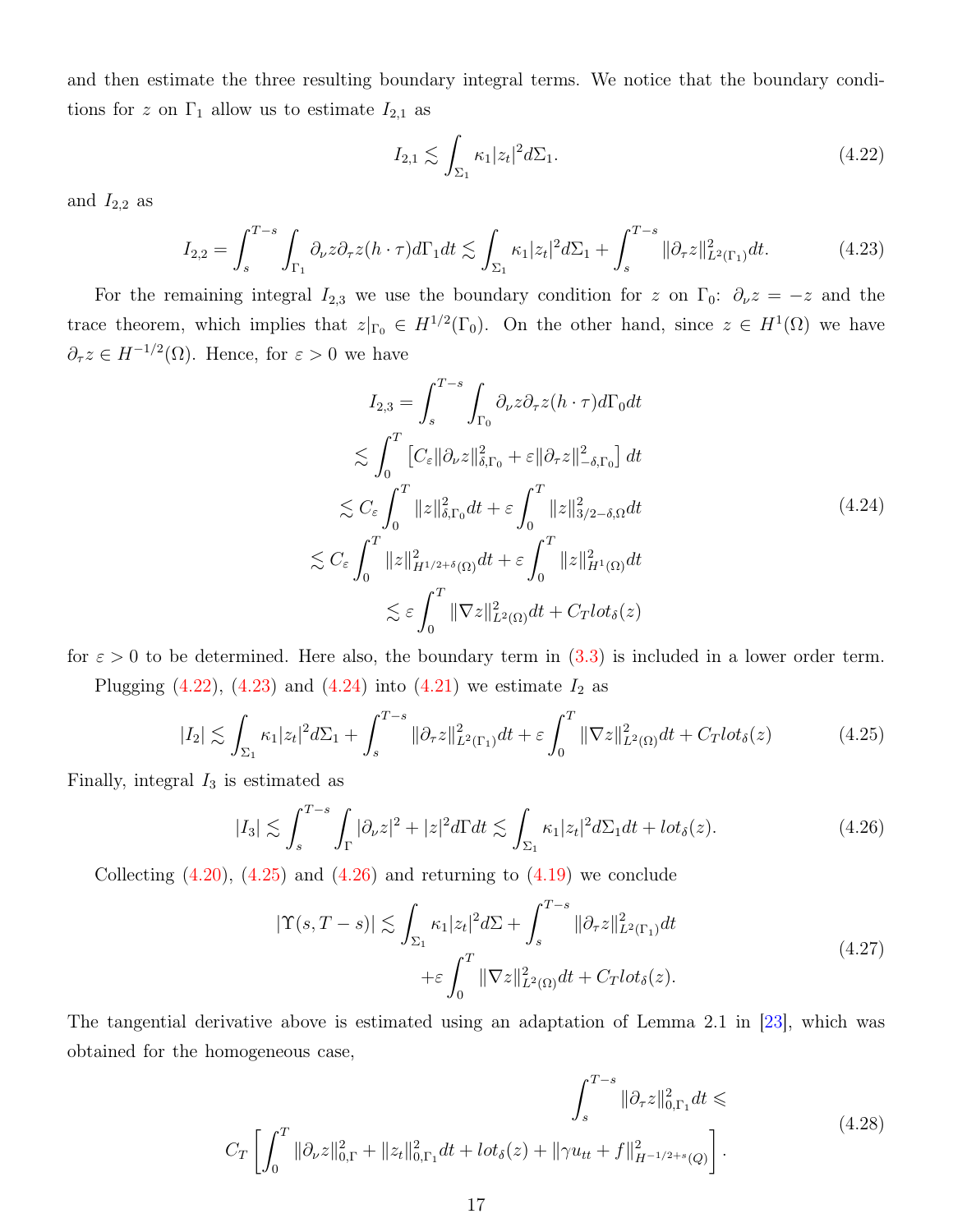and then estimate the three resulting boundary integral terms. We notice that the boundary conditions for z on  $\Gamma_1$  allow us to estimate  $I_{2,1}$  as

<span id="page-16-0"></span>
$$
I_{2,1} \lesssim \int_{\Sigma_1} \kappa_1 |z_t|^2 d\Sigma_1. \tag{4.22}
$$

and  $I_{2,2}$  as

<span id="page-16-1"></span>
$$
I_{2,2} = \int_s^{T-s} \int_{\Gamma_1} \partial_{\nu} z \partial_{\tau} z (h \cdot \tau) d\Gamma_1 dt \lesssim \int_{\Sigma_1} \kappa_1 |z_t|^2 d\Sigma_1 + \int_s^{T-s} ||\partial_{\tau} z||_{L^2(\Gamma_1)}^2 dt. \tag{4.23}
$$

For the remaining integral  $I_{2,3}$  we use the boundary condition for z on  $\Gamma_0$ :  $\partial_\nu z = -z$  and the trace theorem, which implies that  $z|_{\Gamma_0} \in H^{1/2}(\Gamma_0)$ . On the other hand, since  $z \in H^1(\Omega)$  we have  $\partial_{\tau}z \in H^{-1/2}(\Omega)$ . Hence, for  $\varepsilon > 0$  we have

<span id="page-16-2"></span>
$$
I_{2,3} = \int_{s}^{T-s} \int_{\Gamma_{0}} \partial_{\nu} z \partial_{\tau} z (h \cdot \tau) d\Gamma_{0} dt
$$
  
\n
$$
\lesssim \int_{0}^{T} [C_{\varepsilon} || \partial_{\nu} z ||_{\delta, \Gamma_{0}}^{2} + \varepsilon || \partial_{\tau} z ||_{-\delta, \Gamma_{0}}^{2}] dt
$$
  
\n
$$
\lesssim C_{\varepsilon} \int_{0}^{T} ||z||_{\delta, \Gamma_{0}}^{2} dt + \varepsilon \int_{0}^{T} ||z||_{3/2 - \delta, \Omega}^{2} dt
$$
  
\n
$$
\lesssim C_{\varepsilon} \int_{0}^{T} ||z||_{H^{1/2 + \delta}(\Omega)}^{2} dt + \varepsilon \int_{0}^{T} ||z||_{H^{1}(\Omega)}^{2} dt
$$
  
\n
$$
\lesssim \varepsilon \int_{0}^{T} ||\nabla z||_{L^{2}(\Omega)}^{2} dt + C_{T} l \sigma_{\delta}(z)
$$
  
\n(4.24)

for  $\varepsilon > 0$  to be determined. Here also, the boundary term in  $(3.3)$  is included in a lower order term. Plugging  $(4.22)$ ,  $(4.23)$  and  $(4.24)$  into  $(4.21)$  we estimate  $I_2$  as

<span id="page-16-3"></span>
$$
|I_2| \lesssim \int_{\Sigma_1} \kappa_1 |z_t|^2 d\Sigma_1 + \int_s^{T-s} \|\partial_\tau z\|_{L^2(\Gamma_1)}^2 dt + \varepsilon \int_0^T \|\nabla z\|_{L^2(\Omega)}^2 dt + C_T l \sigma \delta(z) \tag{4.25}
$$

Finally, integral  $I_3$  is estimated as

<span id="page-16-4"></span>
$$
|I_3| \lesssim \int_s^{T-s} \int_{\Gamma} |\partial_{\nu} z|^2 + |z|^2 d\Gamma dt \lesssim \int_{\Sigma_1} \kappa_1 |z_t|^2 d\Sigma_1 dt + l \sigma \delta(z). \tag{4.26}
$$

Collecting  $(4.20)$ ,  $(4.25)$  and  $(4.26)$  and returning to  $(4.19)$  we conclude

<span id="page-16-5"></span>
$$
|\Upsilon(s,T-s)| \lesssim \int_{\Sigma_1} \kappa_1 |z_t|^2 d\Sigma + \int_s^{T-s} ||\partial_\tau z||_{L^2(\Gamma_1)}^2 dt
$$
  
 
$$
+ \varepsilon \int_0^T ||\nabla z||_{L^2(\Omega)}^2 dt + C_T l \sigma_\delta(z).
$$
 (4.27)

The tangential derivative above is estimated using an adaptation of Lemma 2.1 in [\[23\]](#page-23-8), which was obtained for the homogeneous case,

<span id="page-16-6"></span>
$$
\int_{s}^{T-s} \|\partial_{\tau}z\|_{0,\Gamma_{1}}^{2} dt \leq C_{T} \left[ \int_{0}^{T} \|\partial_{\nu}z\|_{0,\Gamma}^{2} + \|z_{t}\|_{0,\Gamma_{1}}^{2} dt + l \sigma t_{\delta}(z) + \|\gamma u_{tt} + f\|_{H^{-1/2+s}(Q)}^{2} \right].
$$
\n(4.28)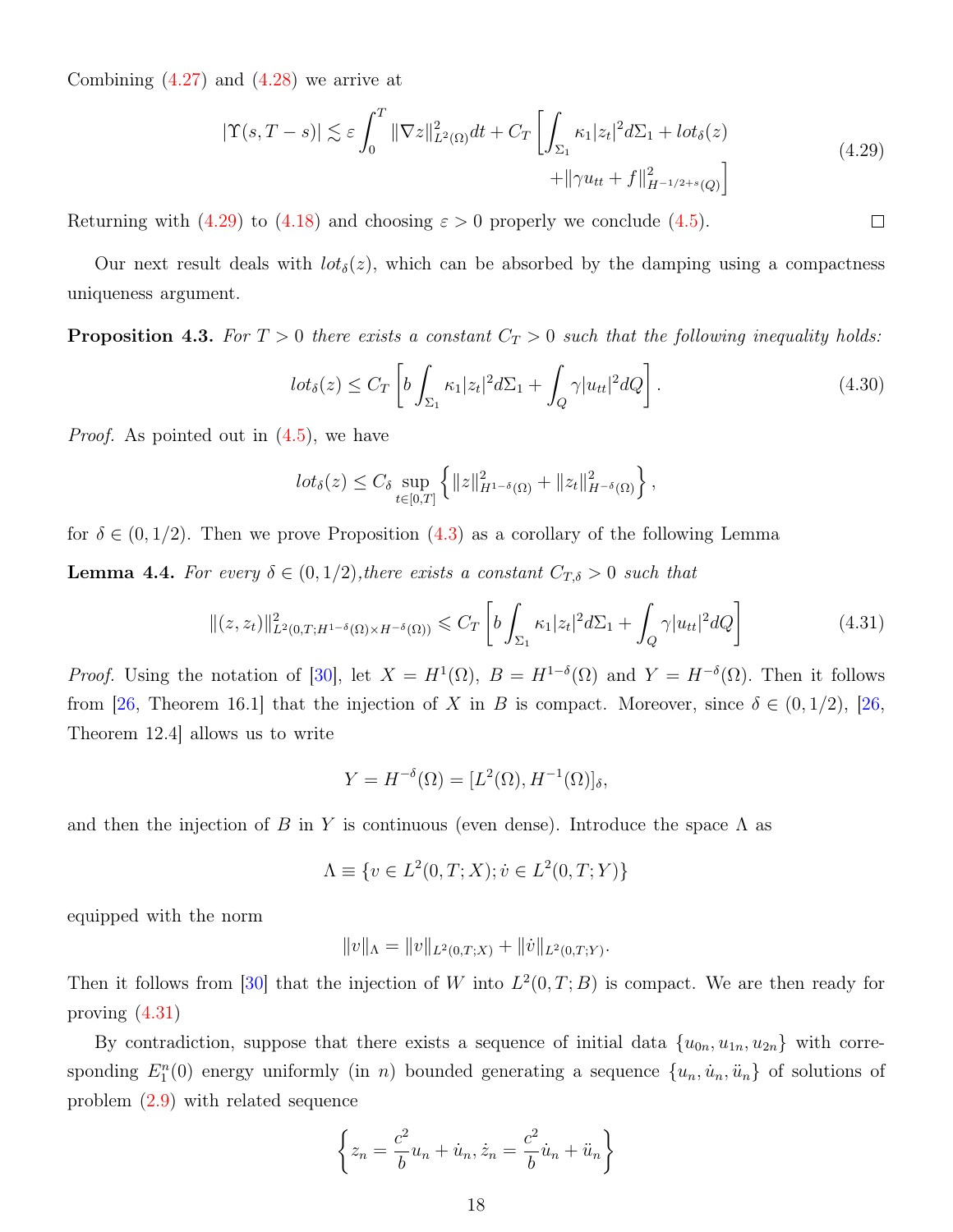<span id="page-17-0"></span>Combining  $(4.27)$  and  $(4.28)$  we arrive at

$$
|\Upsilon(s,T-s)| \lesssim \varepsilon \int_0^T \|\nabla z\|_{L^2(\Omega)}^2 dt + C_T \left[ \int_{\Sigma_1} \kappa_1 |z_t|^2 d\Sigma_1 + l \sigma \delta(z) + \|\gamma u_{tt} + f\|_{H^{-1/2+s}(Q)}^2 \right]
$$
(4.29)

Returning with [\(4.29\)](#page-17-0) to [\(4.18\)](#page-15-5) and choosing  $\varepsilon > 0$  properly we conclude [\(4.5\)](#page-12-1).

Our next result deals with  $lot_{\delta}(z)$ , which can be absorbed by the damping using a compactness uniqueness argument.

<span id="page-17-1"></span>**Proposition 4.3.** For  $T > 0$  there exists a constant  $C_T > 0$  such that the following inequality holds:

$$
lot_{\delta}(z) \leq C_T \left[ b \int_{\Sigma_1} \kappa_1 |z_t|^2 d\Sigma_1 + \int_Q \gamma |u_{tt}|^2 dQ \right]. \tag{4.30}
$$

*Proof.* As pointed out in  $(4.5)$ , we have

$$
lot_{\delta}(z) \leq C_{\delta} \sup_{t \in [0,T]} \left\{ ||z||_{H^{1-\delta}(\Omega)}^2 + ||z_t||_{H^{-\delta}(\Omega)}^2 \right\},\,
$$

for  $\delta \in (0, 1/2)$ . Then we prove Proposition  $(4.3)$  as a corollary of the following Lemma

<span id="page-17-3"></span>**Lemma 4.4.** For every  $\delta \in (0, 1/2)$ , there exists a constant  $C_{T, \delta} > 0$  such that

<span id="page-17-2"></span>
$$
\|(z, z_t)\|_{L^2(0,T;H^{1-\delta}(\Omega)\times H^{-\delta}(\Omega))}^2 \leq C_T \left[ b \int_{\Sigma_1} \kappa_1 |z_t|^2 d\Sigma_1 + \int_Q \gamma |u_{tt}|^2 dQ \right]
$$
(4.31)

*Proof.* Using the notation of [\[30\]](#page-24-5), let  $X = H^1(\Omega)$ ,  $B = H^{1-\delta}(\Omega)$  and  $Y = H^{-\delta}(\Omega)$ . Then it follows from [\[26,](#page-24-6) Theorem 16.1] that the injection of X in B is compact. Moreover, since  $\delta \in (0, 1/2)$ , [26, Theorem 12.4] allows us to write

$$
Y = H^{-\delta}(\Omega) = [L^2(\Omega), H^{-1}(\Omega)]_{\delta},
$$

and then the injection of B in Y is continuous (even dense). Introduce the space  $\Lambda$  as

$$
\Lambda \equiv \{ v \in L^2(0, T; X) ; \dot{v} \in L^2(0, T; Y) \}
$$

equipped with the norm

$$
||v||_{\Lambda} = ||v||_{L^2(0,T;X)} + ||\dot{v}||_{L^2(0,T;Y)}.
$$

Then it follows from [\[30\]](#page-24-5) that the injection of W into  $L^2(0,T;B)$  is compact. We are then ready for proving [\(4.31\)](#page-17-2)

By contradiction, suppose that there exists a sequence of initial data  $\{u_{0n}, u_{1n}, u_{2n}\}\$  with corresponding  $E_1^n(0)$  energy uniformly (in n) bounded generating a sequence  $\{u_n, \dot{u}_n, \ddot{u}_n\}$  of solutions of problem [\(2.9\)](#page-6-2) with related sequence

$$
\left\{ z_n = \frac{c^2}{b} u_n + \dot{u}_n, \dot{z}_n = \frac{c^2}{b} \dot{u}_n + \ddot{u}_n \right\}
$$

 $\Box$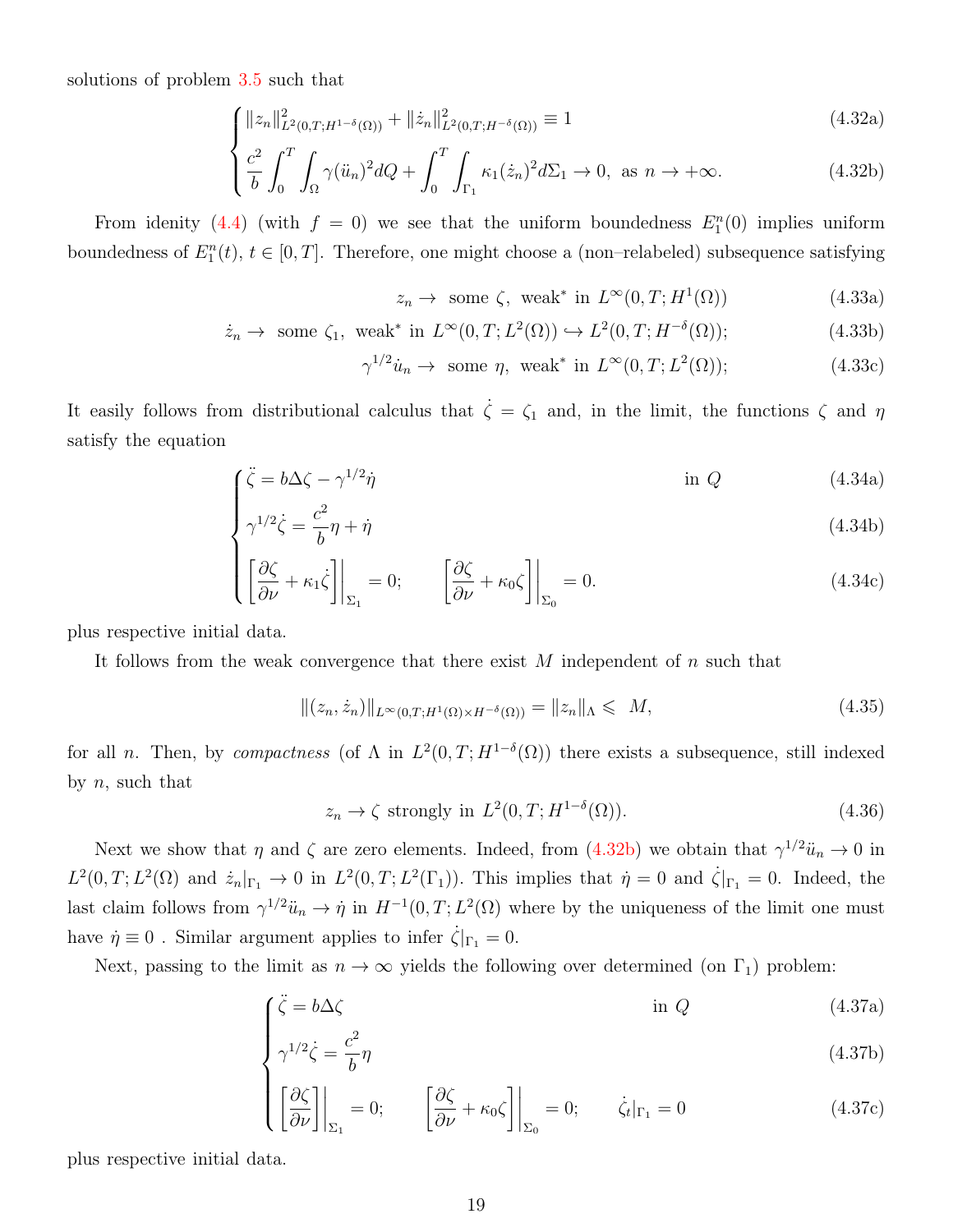<span id="page-18-0"></span>solutions of problem [3.5](#page-8-0) such that

$$
\int \|z_n\|_{L^2(0,T;H^{1-\delta}(\Omega))}^2 + \|\dot{z}_n\|_{L^2(0,T;H^{-\delta}(\Omega))}^2 \equiv 1
$$
\n(4.32a)

$$
\left\{\frac{c^2}{b}\int_0^T \int_{\Omega} \gamma(\ddot{u}_n)^2 dQ + \int_0^T \int_{\Gamma_1} \kappa_1(\dot{z}_n)^2 d\Sigma_1 \to 0, \text{ as } n \to +\infty. \right. \tag{4.32b}
$$

From idenity [\(4.4\)](#page-12-0) (with  $f = 0$ ) we see that the uniform boundedness  $E_1^n(0)$  implies uniform boundedness of  $E_1^n(t)$ ,  $t \in [0, T]$ . Therefore, one might choose a (non-relabeled) subsequence satisfying

$$
z_n \to \text{ some } \zeta, \text{ weak}^* \text{ in } L^{\infty}(0, T; H^1(\Omega)) \tag{4.33a}
$$

$$
\dot{z}_n \to \text{ some } \zeta_1, \text{ weak}^* \text{ in } L^{\infty}(0, T; L^2(\Omega)) \hookrightarrow L^2(0, T; H^{-\delta}(\Omega)); \tag{4.33b}
$$

$$
\gamma^{1/2}\dot{u}_n \to \text{ some } \eta, \text{ weak}^* \text{ in } L^{\infty}(0, T; L^2(\Omega)); \tag{4.33c}
$$

It easily follows from distributional calculus that  $\dot{\zeta} = \zeta_1$  and, in the limit, the functions  $\zeta$  and  $\eta$ satisfy the equation

$$
\int \ddot{\zeta} = b\Delta\zeta - \gamma^{1/2}\dot{\eta}
$$
 in Q (4.34a)

$$
\begin{cases}\n\gamma^{1/2}\dot{\zeta} = \frac{c^2}{b}\eta + \dot{\eta}\n\end{cases} \tag{4.34b}
$$

$$
\left\{ \left[ \frac{\partial \zeta}{\partial \nu} + \kappa_1 \dot{\zeta} \right] \bigg|_{\Sigma_1} = 0; \qquad \left[ \frac{\partial \zeta}{\partial \nu} + \kappa_0 \zeta \right] \bigg|_{\Sigma_0} = 0. \tag{4.34c}
$$

<span id="page-18-1"></span>plus respective initial data.

It follows from the weak convergence that there exist  $M$  independent of  $n$  such that

$$
||(z_n, \dot{z}_n)||_{L^{\infty}(0,T;H^1(\Omega)\times H^{-\delta}(\Omega))} = ||z_n||_{\Lambda} \leqslant M,
$$
\n(4.35)

for all *n*. Then, by compactness (of  $\Lambda$  in  $L^2(0,T;H^{1-\delta}(\Omega))$  there exists a subsequence, still indexed by  $n$ , such that

$$
z_n \to \zeta \text{ strongly in } L^2(0, T; H^{1-\delta}(\Omega)).\tag{4.36}
$$

Next we show that  $\eta$  and  $\zeta$  are zero elements. Indeed, from [\(4.32b\)](#page-18-0) we obtain that  $\gamma^{1/2} \ddot{u}_n \to 0$  in  $L^2(0,T;L^2(\Omega)$  and  $\dot{z}_n|_{\Gamma_1} \to 0$  in  $L^2(0,T;L^2(\Gamma_1))$ . This implies that  $\dot{\eta}=0$  and  $\dot{\zeta}|_{\Gamma_1}=0$ . Indeed, the last claim follows from  $\gamma^{1/2} \ddot{u}_n \to \dot{\eta}$  in  $H^{-1}(0,T;L^2(\Omega))$  where by the uniqueness of the limit one must have  $\dot{\eta} \equiv 0$ . Similar argument applies to infer  $\dot{\zeta}|_{\Gamma_1} = 0$ .

Next, passing to the limit as  $n \to \infty$  yields the following over determined (on  $\Gamma_1$ ) problem:

$$
\int \ddot{\zeta} = b\Delta\zeta \qquad \text{in } Q \tag{4.37a}
$$

$$
\gamma^{1/2}\dot{\zeta} = \frac{c^2}{b}\eta\tag{4.37b}
$$

$$
\left\{ \left[ \frac{\partial \zeta}{\partial \nu} \right] \bigg|_{\Sigma_1} = 0; \qquad \left[ \frac{\partial \zeta}{\partial \nu} + \kappa_0 \zeta \right] \bigg|_{\Sigma_0} = 0; \qquad \dot{\zeta}_t |_{\Gamma_1} = 0 \tag{4.37c}
$$

plus respective initial data.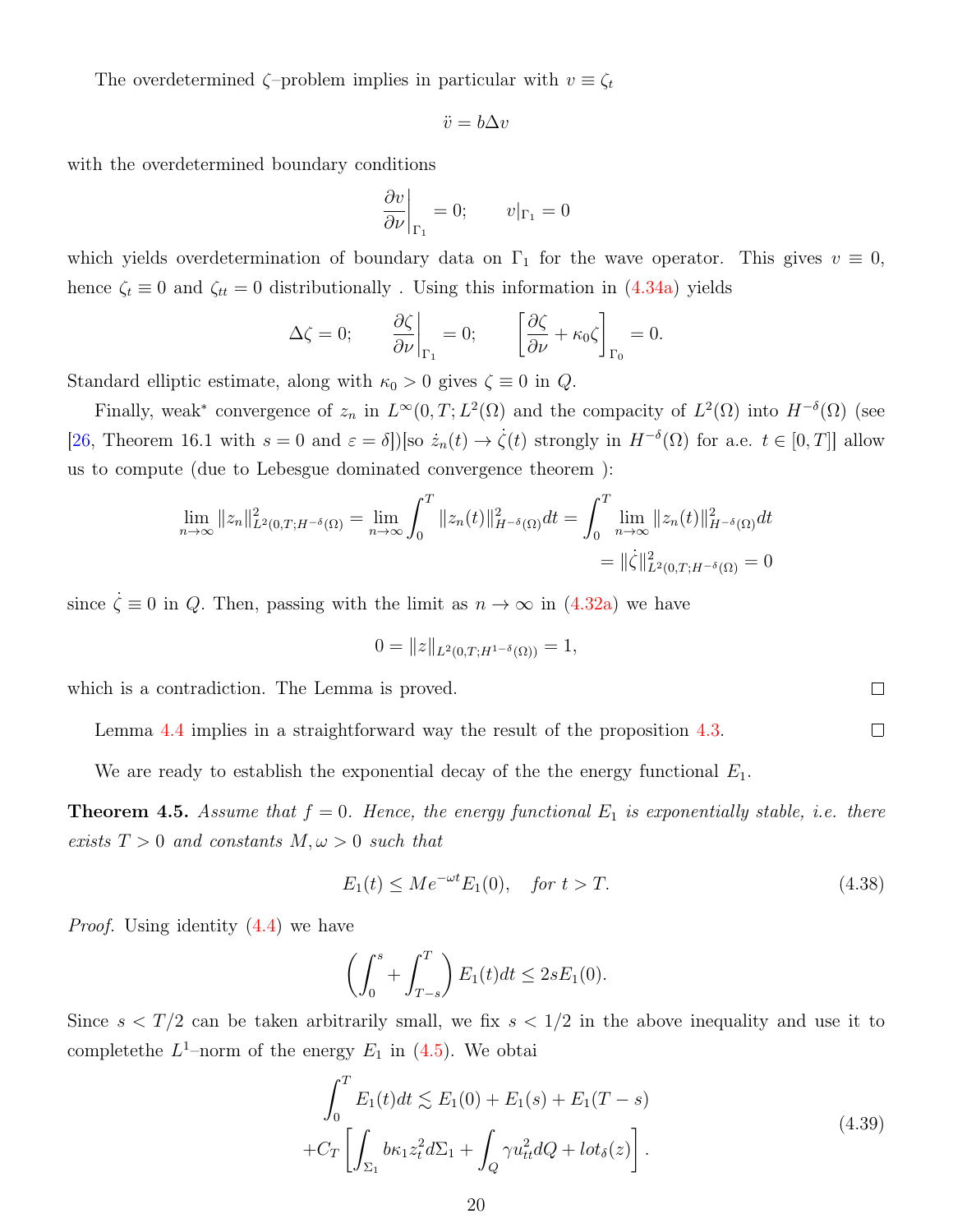The overdetermined  $\zeta$ -problem implies in particular with  $v \equiv \zeta_t$ 

$$
\ddot{v} = b\Delta v
$$

with the overdetermined boundary conditions

$$
\left. \frac{\partial v}{\partial \nu} \right|_{\Gamma_1} = 0; \qquad v|_{\Gamma_1} = 0
$$

which yields overdetermination of boundary data on  $\Gamma_1$  for the wave operator. This gives  $v \equiv 0$ , hence  $\zeta_t \equiv 0$  and  $\zeta_{tt} = 0$  distributionally. Using this information in [\(4.34a\)](#page-18-1) yields

$$
\Delta \zeta = 0; \qquad \frac{\partial \zeta}{\partial \nu}\Big|_{\Gamma_1} = 0; \qquad \left[\frac{\partial \zeta}{\partial \nu} + \kappa_0 \zeta\right]_{\Gamma_0} = 0.
$$

Standard elliptic estimate, along with  $\kappa_0 > 0$  gives  $\zeta \equiv 0$  in  $Q$ .

Finally, weak<sup>\*</sup> convergence of  $z_n$  in  $L^{\infty}(0,T; L^2(\Omega))$  and the compacity of  $L^2(\Omega)$  into  $H^{-\delta}(\Omega)$  (see [\[26,](#page-24-6) Theorem 16.1 with  $s = 0$  and  $\varepsilon = \delta$ ])[so  $\dot{z}_n(t) \to \dot{\zeta}(t)$  strongly in  $H^{-\delta}(\Omega)$  for a.e.  $t \in [0, T]$ ] allow us to compute (due to Lebesgue dominated convergence theorem ):

$$
\lim_{n \to \infty} ||z_n||_{L^2(0,T;H^{-\delta}(\Omega))}^2 = \lim_{n \to \infty} \int_0^T ||z_n(t)||_{H^{-\delta}(\Omega)}^2 dt = \int_0^T \lim_{n \to \infty} ||z_n(t)||_{H^{-\delta}(\Omega)}^2 dt
$$
  
=  $||\dot{\zeta}||_{L^2(0,T;H^{-\delta}(\Omega))}^2 = 0$ 

since  $\dot{\zeta} \equiv 0$  in Q. Then, passing with the limit as  $n \to \infty$  in  $(4.32a)$  we have

$$
0 = ||z||_{L^2(0,T;H^{1-\delta}(\Omega))} = 1,
$$

which is a contradiction. The Lemma is proved.

Lemma [4.4](#page-17-3) implies in a straightforward way the result of the proposition [4.3.](#page-17-1)

We are ready to establish the exponential decay of the the energy functional  $E_1$ .

<span id="page-19-1"></span>**Theorem 4.5.** Assume that  $f = 0$ . Hence, the energy functional  $E_1$  is exponentially stable, i.e. there exists  $T > 0$  and constants  $M, \omega > 0$  such that

<span id="page-19-0"></span>
$$
E_1(t) \le Me^{-\omega t} E_1(0), \quad \text{for } t > T. \tag{4.38}
$$

Proof. Using identity [\(4.4\)](#page-12-0) we have

$$
\left(\int_0^s + \int_{T-s}^T\right) E_1(t) dt \le 2s E_1(0).
$$

Since  $s < T/2$  can be taken arbitrarily small, we fix  $s < 1/2$  in the above inequality and use it to complete the  $L^1$ -norm of the energy  $E_1$  in  $(4.5)$ . We obtai

$$
\int_0^T E_1(t)dt \lesssim E_1(0) + E_1(s) + E_1(T - s) \n+ C_T \left[ \int_{\Sigma_1} b\kappa_1 z_t^2 d\Sigma_1 + \int_Q \gamma u_{tt}^2 dQ + l \sigma \delta(z) \right].
$$
\n(4.39)

 $\Box$ 

 $\Box$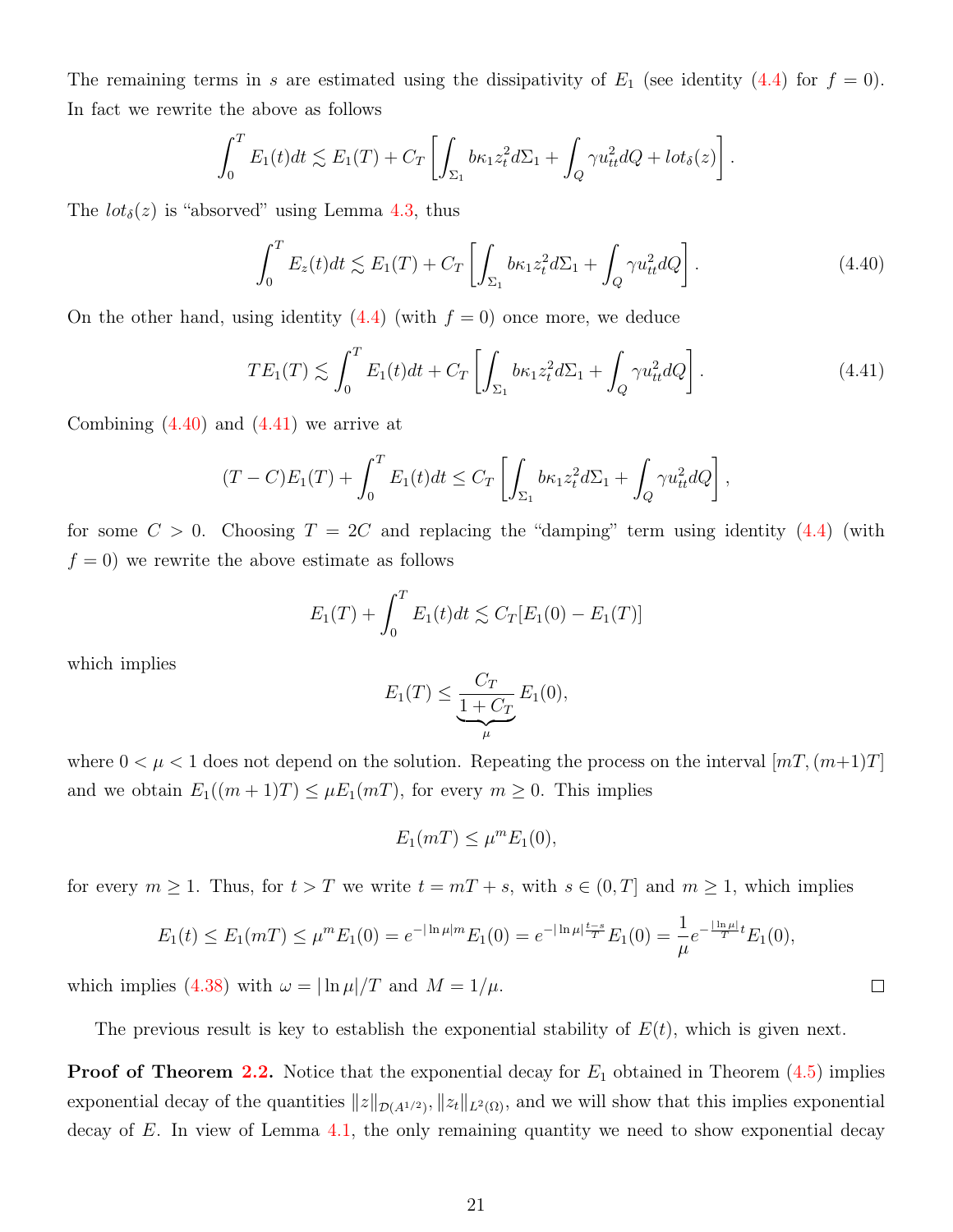The remaining terms in s are estimated using the dissipativity of  $E_1$  (see identity [\(4.4\)](#page-12-0) for  $f = 0$ ). In fact we rewrite the above as follows

$$
\int_0^T E_1(t)dt \lesssim E_1(T) + C_T \left[ \int_{\Sigma_1} b\kappa_1 z_t^2 d\Sigma_1 + \int_Q \gamma u_{tt}^2 dQ + l \sigma t_\delta(z) \right].
$$

The  $lot_{\delta}(z)$  is "absorved" using Lemma [4.3,](#page-17-1) thus

<span id="page-20-0"></span>
$$
\int_0^T E_z(t)dt \lesssim E_1(T) + C_T \left[ \int_{\Sigma_1} b\kappa_1 z_t^2 d\Sigma_1 + \int_Q \gamma u_{tt}^2 dQ \right]. \tag{4.40}
$$

On the other hand, using identity  $(4.4)$  (with  $f = 0$ ) once more, we deduce

<span id="page-20-1"></span>
$$
TE_1(T) \lesssim \int_0^T E_1(t)dt + C_T \left[ \int_{\Sigma_1} b\kappa_1 z_t^2 d\Sigma_1 + \int_Q \gamma u_{tt}^2 dQ \right]. \tag{4.41}
$$

Combining  $(4.40)$  and  $(4.41)$  we arrive at

$$
(T-C)E_1(T) + \int_0^T E_1(t)dt \leq C_T \left[ \int_{\Sigma_1} b\kappa_1 z_t^2 d\Sigma_1 + \int_Q \gamma u_{tt}^2 dQ \right],
$$

for some  $C > 0$ . Choosing  $T = 2C$  and replacing the "damping" term using identity [\(4.4\)](#page-12-0) (with  $f = 0$ ) we rewrite the above estimate as follows

$$
E_1(T) + \int_0^T E_1(t)dt \lesssim C_T[E_1(0) - E_1(T)]
$$

which implies

$$
E_1(T) \le \underbrace{\frac{C_T}{1 + C_T}}_{\mu} E_1(0),
$$

where  $0 < \mu < 1$  does not depend on the solution. Repeating the process on the interval  $[mT,(m+1)T]$ and we obtain  $E_1((m+1)T) \leq \mu E_1(mT)$ , for every  $m \geq 0$ . This implies

$$
E_1(mT) \le \mu^m E_1(0),
$$

for every  $m \ge 1$ . Thus, for  $t > T$  we write  $t = mT + s$ , with  $s \in (0, T]$  and  $m \ge 1$ , which implies

$$
E_1(t) \le E_1(mT) \le \mu^m E_1(0) = e^{-|\ln \mu| m} E_1(0) = e^{-|\ln \mu| \frac{t-s}{T}} E_1(0) = \frac{1}{\mu} e^{-\frac{|\ln \mu|}{T}} E_1(0),
$$

which implies [\(4.38\)](#page-19-0) with  $\omega = |\ln \mu|/T$  and  $M = 1/\mu$ .

The previous result is key to establish the exponential stability of  $E(t)$ , which is given next.

**Proof of Theorem [2.2.](#page-7-0)** Notice that the exponential decay for  $E_1$  obtained in Theorem  $(4.5)$  implies exponential decay of the quantities  $||z||_{\mathcal{D}(A^{1/2})}$ ,  $||z_t||_{L^2(\Omega)}$ , and we will show that this implies exponential decay of  $E$ . In view of Lemma [4.1,](#page-11-0) the only remaining quantity we need to show exponential decay

 $\Box$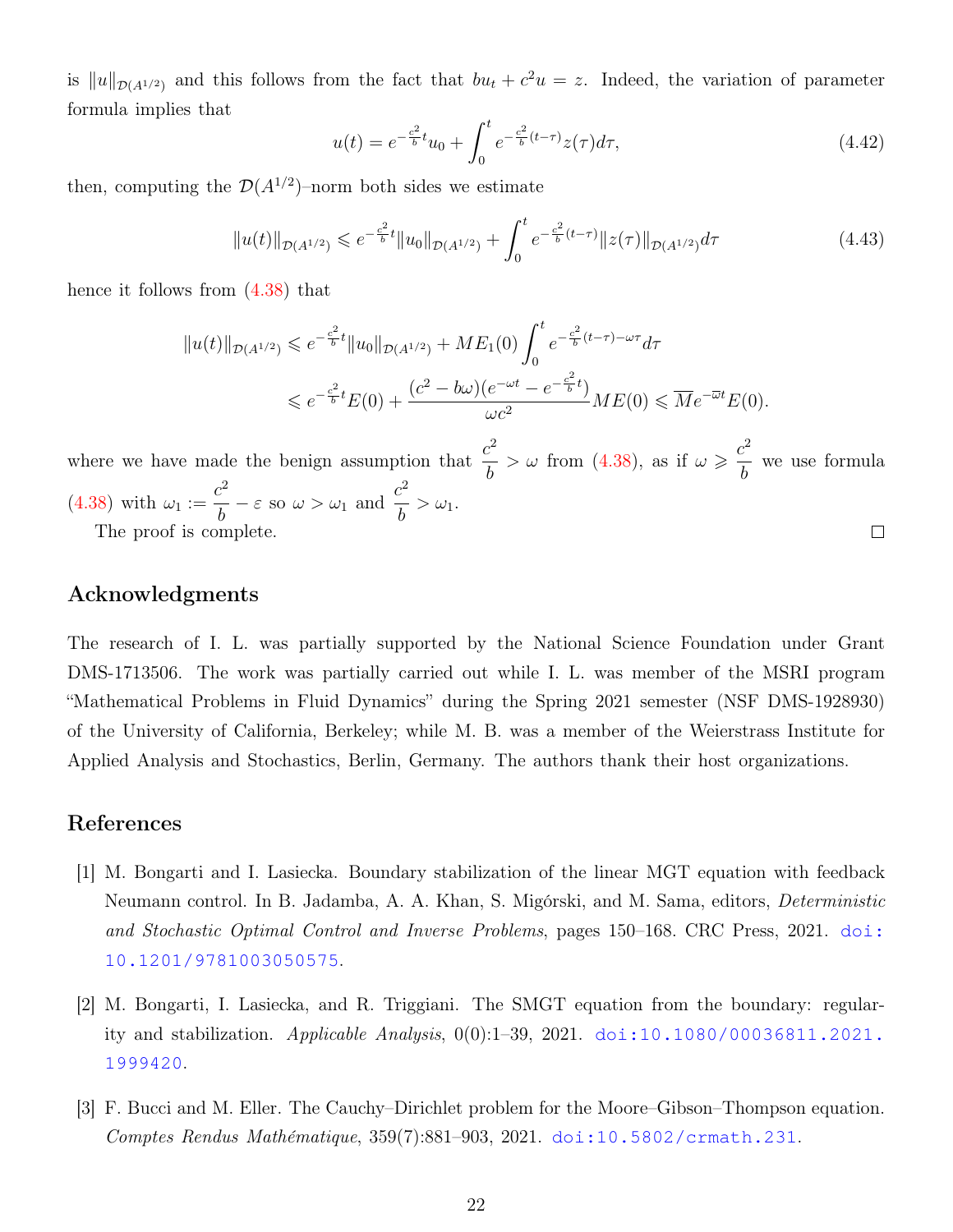is  $||u||_{\mathcal{D}(A^{1/2})}$  and this follows from the fact that  $bu_t + c^2u = z$ . Indeed, the variation of parameter formula implies that

$$
u(t) = e^{-\frac{c^2}{b}t}u_0 + \int_0^t e^{-\frac{c^2}{b}(t-\tau)}z(\tau)d\tau,
$$
\n(4.42)

then, computing the  $\mathcal{D}(A^{1/2})$ -norm both sides we estimate

$$
||u(t)||_{\mathcal{D}(A^{1/2})} \leqslant e^{-\frac{c^2}{b}t}||u_0||_{\mathcal{D}(A^{1/2})} + \int_0^t e^{-\frac{c^2}{b}(t-\tau)}||z(\tau)||_{\mathcal{D}(A^{1/2})}d\tau
$$
\n(4.43)

hence it follows from [\(4.38\)](#page-19-0) that

$$
||u(t)||_{\mathcal{D}(A^{1/2})} \leqslant e^{-\frac{c^2}{b}t}||u_0||_{\mathcal{D}(A^{1/2})} + ME_1(0) \int_0^t e^{-\frac{c^2}{b}(t-\tau) - \omega\tau} d\tau
$$
  

$$
\leqslant e^{-\frac{c^2}{b}t}E(0) + \frac{(c^2 - b\omega)(e^{-\omega t} - e^{-\frac{c^2}{b}t})}{\omega c^2} ME(0) \leqslant \overline{M}e^{-\overline{\omega}t}E(0).
$$

where we have made the benign assumption that  $\frac{c^2}{l}$  $> \omega$  from [\(4.38\)](#page-19-0), as if  $\omega \geqslant \frac{c^2}{l}$ we use formula b b  $c^2$  $\frac{c^2}{b} - \varepsilon$  so  $\omega > \omega_1$  and  $\frac{c^2}{b}$  $(4.38)$  with  $\omega_1 :=$  $\frac{\epsilon}{b} > \omega_1.$  $\Box$ 

The proof is complete.

## Acknowledgments

The research of I. L. was partially supported by the National Science Foundation under Grant DMS-1713506. The work was partially carried out while I. L. was member of the MSRI program "Mathematical Problems in Fluid Dynamics" during the Spring 2021 semester (NSF DMS-1928930) of the University of California, Berkeley; while M. B. was a member of the Weierstrass Institute for Applied Analysis and Stochastics, Berlin, Germany. The authors thank their host organizations.

## <span id="page-21-1"></span>References

- [1] M. Bongarti and I. Lasiecka. Boundary stabilization of the linear MGT equation with feedback Neumann control. In B. Jadamba, A. A. Khan, S. Migórski, and M. Sama, editors, Deterministic and Stochastic Optimal Control and Inverse Problems, pages 150–168. CRC Press, 2021. [doi:](https://doi.org/10.1201/9781003050575) [10.1201/9781003050575](https://doi.org/10.1201/9781003050575).
- <span id="page-21-2"></span>[2] M. Bongarti, I. Lasiecka, and R. Triggiani. The SMGT equation from the boundary: regularity and stabilization. Applicable Analysis, 0(0):1–39, 2021. [doi:10.1080/00036811.2021.](https://doi.org/10.1080/00036811.2021.1999420) [1999420](https://doi.org/10.1080/00036811.2021.1999420).
- <span id="page-21-0"></span>[3] F. Bucci and M. Eller. The Cauchy–Dirichlet problem for the Moore–Gibson–Thompson equation. Comptes Rendus Mathématique, 359(7):881–903, 2021. [doi:10.5802/crmath.231](https://doi.org/10.5802/crmath.231).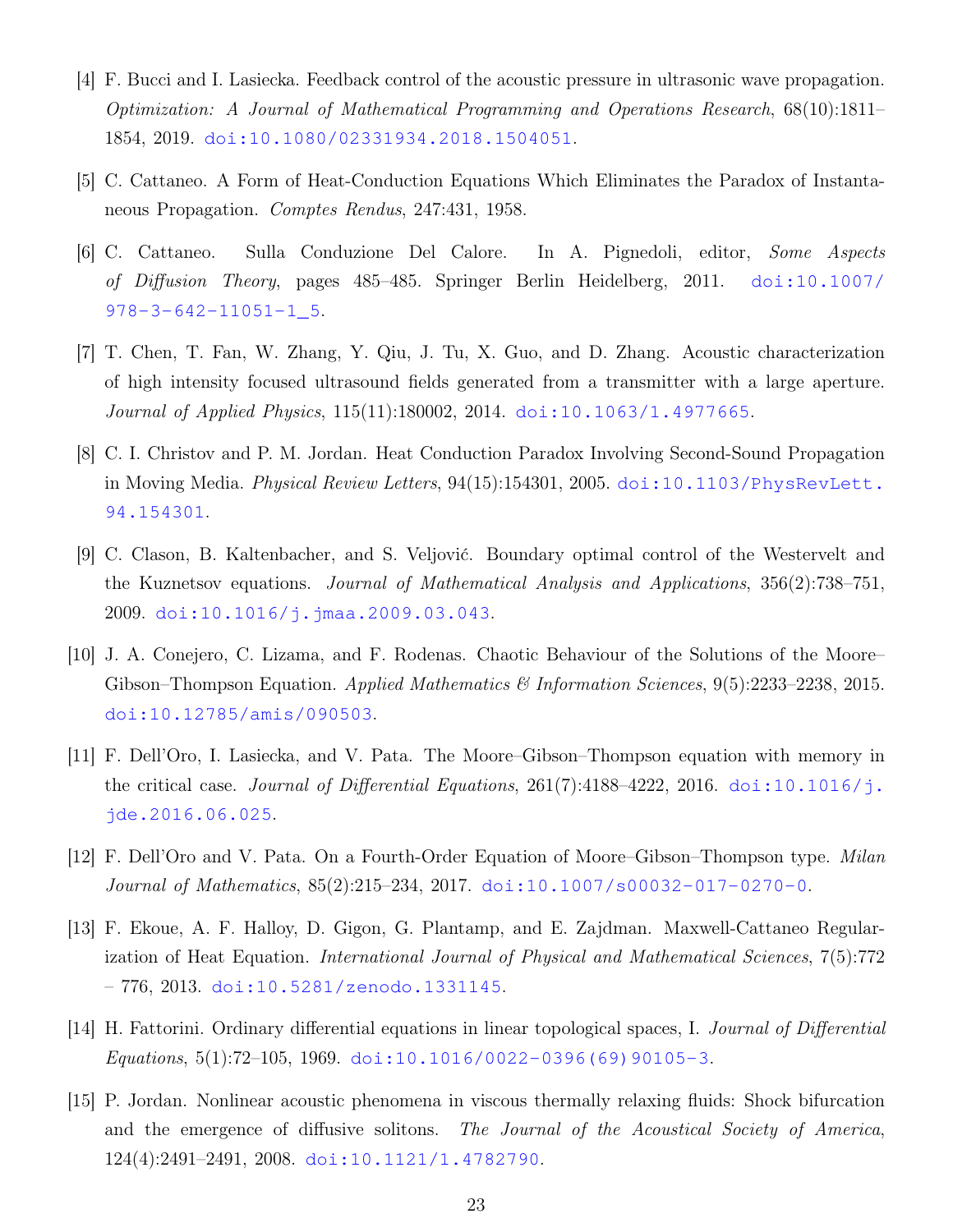- <span id="page-22-11"></span>[4] F. Bucci and I. Lasiecka. Feedback control of the acoustic pressure in ultrasonic wave propagation. Optimization: A Journal of Mathematical Programming and Operations Research, 68(10):1811– 1854, 2019. [doi:10.1080/02331934.2018.1504051](https://doi.org/10.1080/02331934.2018.1504051).
- <span id="page-22-4"></span>[5] C. Cattaneo. A Form of Heat-Conduction Equations Which Eliminates the Paradox of Instantaneous Propagation. Comptes Rendus, 247:431, 1958.
- <span id="page-22-5"></span>[6] C. Cattaneo. Sulla Conduzione Del Calore. In A. Pignedoli, editor, Some Aspects of Diffusion Theory, pages 485–485. Springer Berlin Heidelberg, 2011. [doi:10.1007/](https://doi.org/10.1007/978-3-642-11051-1_5) [978-3-642-11051-1\\_5](https://doi.org/10.1007/978-3-642-11051-1_5).
- <span id="page-22-2"></span>[7] T. Chen, T. Fan, W. Zhang, Y. Qiu, J. Tu, X. Guo, and D. Zhang. Acoustic characterization of high intensity focused ultrasound fields generated from a transmitter with a large aperture. Journal of Applied Physics, 115(11):180002, 2014. [doi:10.1063/1.4977665](https://doi.org/10.1063/1.4977665).
- <span id="page-22-6"></span>[8] C. I. Christov and P. M. Jordan. Heat Conduction Paradox Involving Second-Sound Propagation in Moving Media. *Physical Review Letters*,  $94(15):154301$ ,  $2005$ . [doi:10.1103/PhysRevLett.](https://doi.org/10.1103/PhysRevLett.94.154301) [94.154301](https://doi.org/10.1103/PhysRevLett.94.154301).
- <span id="page-22-10"></span>[9] C. Clason, B. Kaltenbacher, and S. Veljović. Boundary optimal control of the Westervelt and the Kuznetsov equations. Journal of Mathematical Analysis and Applications, 356(2):738–751, 2009. [doi:10.1016/j.jmaa.2009.03.043](https://doi.org/10.1016/j.jmaa.2009.03.043).
- <span id="page-22-7"></span>[10] J. A. Conejero, C. Lizama, and F. Rodenas. Chaotic Behaviour of the Solutions of the Moore– Gibson–Thompson Equation. Applied Mathematics & Information Sciences, 9(5):2233–2238, 2015. [doi:10.12785/amis/090503](https://doi.org/10.12785/amis/090503).
- <span id="page-22-8"></span>[11] F. Dell'Oro, I. Lasiecka, and V. Pata. The Moore–Gibson–Thompson equation with memory in the critical case. *Journal of Differential Equations*,  $261(7):4188-4222$ ,  $2016$ . [doi:10.1016/j.](https://doi.org/10.1016/j.jde.2016.06.025) [jde.2016.06.025](https://doi.org/10.1016/j.jde.2016.06.025).
- <span id="page-22-9"></span>[12] F. Dell'Oro and V. Pata. On a Fourth-Order Equation of Moore–Gibson–Thompson type. Milan Journal of Mathematics, 85(2):215–234, 2017. [doi:10.1007/s00032-017-0270-0](https://doi.org/10.1007/s00032-017-0270-0).
- <span id="page-22-3"></span>[13] F. Ekoue, A. F. Halloy, D. Gigon, G. Plantamp, and E. Zajdman. Maxwell-Cattaneo Regularization of Heat Equation. International Journal of Physical and Mathematical Sciences, 7(5):772  $-776, 2013. \text{doi:10.5281/zenodo}.1331145.$
- <span id="page-22-0"></span>[14] H. Fattorini. Ordinary differential equations in linear topological spaces, I. Journal of Differential Equations, 5(1):72-105, 1969. [doi:10.1016/0022-0396\(69\)90105-3](https://doi.org/10.1016/0022-0396(69)90105-3).
- <span id="page-22-1"></span>[15] P. Jordan. Nonlinear acoustic phenomena in viscous thermally relaxing fluids: Shock bifurcation and the emergence of diffusive solitons. The Journal of the Acoustical Society of America, 124(4):2491–2491, 2008. [doi:10.1121/1.4782790](https://doi.org/10.1121/1.4782790).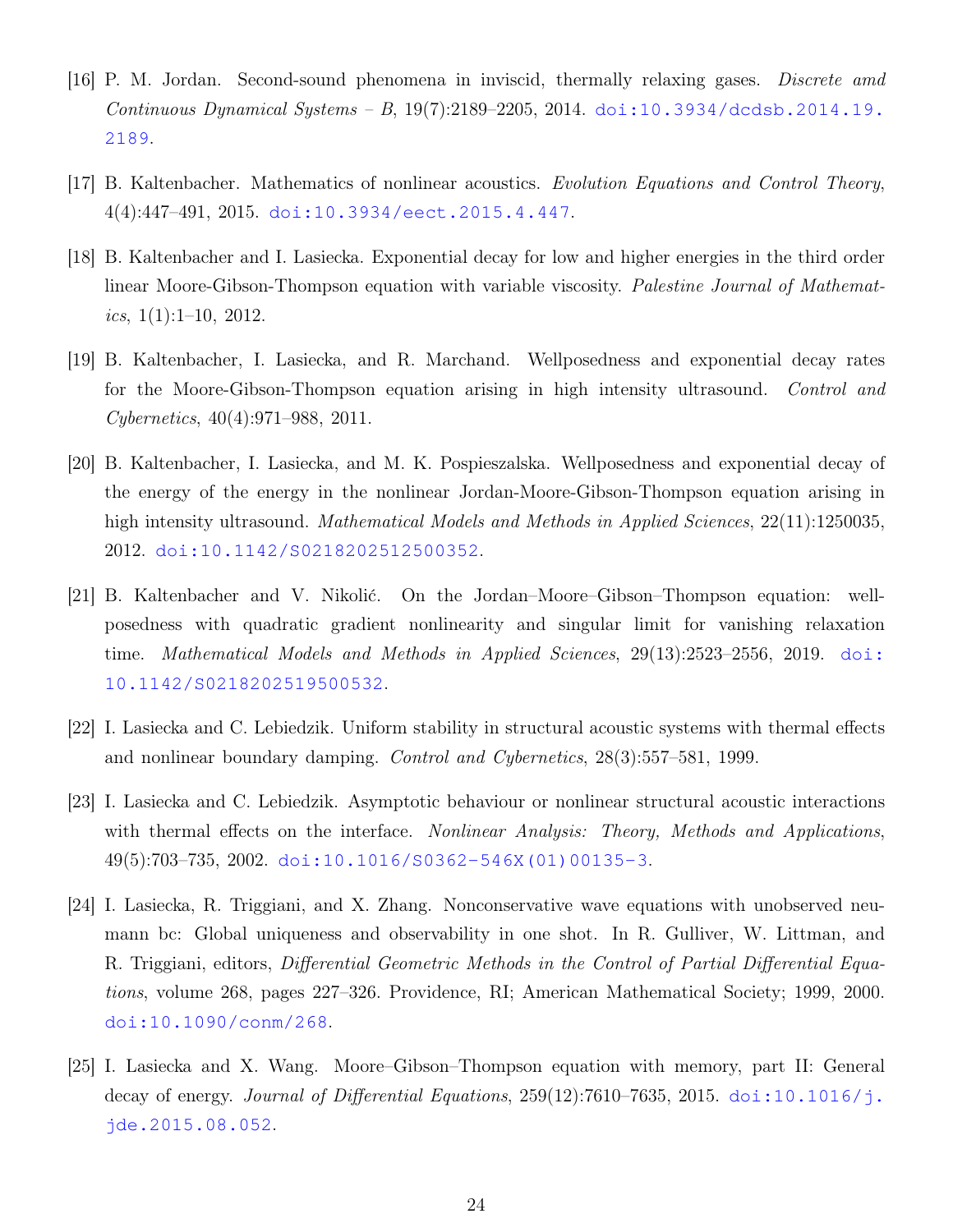- <span id="page-23-0"></span>[16] P. M. Jordan. Second-sound phenomena in inviscid, thermally relaxing gases. Discrete amd Continuous Dynamical Systems – B,  $19(7):2189-2205$ , 2014. [doi:10.3934/dcdsb.2014.19.](https://doi.org/10.3934/dcdsb.2014.19.2189) [2189](https://doi.org/10.3934/dcdsb.2014.19.2189).
- <span id="page-23-3"></span>[17] B. Kaltenbacher. Mathematics of nonlinear acoustics. Evolution Equations and Control Theory, 4(4):447–491, 2015. [doi:10.3934/eect.2015.4.447](https://doi.org/10.3934/eect.2015.4.447).
- <span id="page-23-5"></span>[18] B. Kaltenbacher and I. Lasiecka. Exponential decay for low and higher energies in the third order linear Moore-Gibson-Thompson equation with variable viscosity. Palestine Journal of Mathematics,  $1(1):1-10$ ,  $2012$ .
- <span id="page-23-6"></span>[19] B. Kaltenbacher, I. Lasiecka, and R. Marchand. Wellposedness and exponential decay rates for the Moore-Gibson-Thompson equation arising in high intensity ultrasound. Control and Cybernetics, 40(4):971–988, 2011.
- <span id="page-23-1"></span>[20] B. Kaltenbacher, I. Lasiecka, and M. K. Pospieszalska. Wellposedness and exponential decay of the energy of the energy in the nonlinear Jordan-Moore-Gibson-Thompson equation arising in high intensity ultrasound. *Mathematical Models and Methods in Applied Sciences*, 22(11):1250035, 2012. [doi:10.1142/S0218202512500352](https://doi.org/10.1142/S0218202512500352).
- <span id="page-23-2"></span>[21] B. Kaltenbacher and V. Nikolić. On the Jordan–Moore–Gibson–Thompson equation: wellposedness with quadratic gradient nonlinearity and singular limit for vanishing relaxation time. Mathematical Models and Methods in Applied Sciences, 29(13):2523–2556, 2019. [doi:](https://doi.org/10.1142/S0218202519500532) [10.1142/S0218202519500532](https://doi.org/10.1142/S0218202519500532).
- <span id="page-23-9"></span>[22] I. Lasiecka and C. Lebiedzik. Uniform stability in structural acoustic systems with thermal effects and nonlinear boundary damping. Control and Cybernetics, 28(3):557–581, 1999.
- <span id="page-23-8"></span>[23] I. Lasiecka and C. Lebiedzik. Asymptotic behaviour or nonlinear structural acoustic interactions with thermal effects on the interface. Nonlinear Analysis: Theory, Methods and Applications, 49(5):703–735, 2002. [doi:10.1016/S0362-546X\(01\)00135-3](https://doi.org/10.1016/S0362-546X(01)00135-3).
- <span id="page-23-4"></span>[24] I. Lasiecka, R. Triggiani, and X. Zhang. Nonconservative wave equations with unobserved neumann bc: Global uniqueness and observability in one shot. In R. Gulliver, W. Littman, and R. Triggiani, editors, *Differential Geometric Methods in the Control of Partial Differential Equa*tions, volume 268, pages 227–326. Providence, RI; American Mathematical Society; 1999, 2000. [doi:10.1090/conm/268](https://doi.org/10.1090/conm/268).
- <span id="page-23-7"></span>[25] I. Lasiecka and X. Wang. Moore–Gibson–Thompson equation with memory, part II: General decay of energy. *Journal of Differential Equations*,  $259(12)$ :7610–7635,  $2015$ . [doi:10.1016/j.](https://doi.org/10.1016/j.jde.2015.08.052) [jde.2015.08.052](https://doi.org/10.1016/j.jde.2015.08.052).